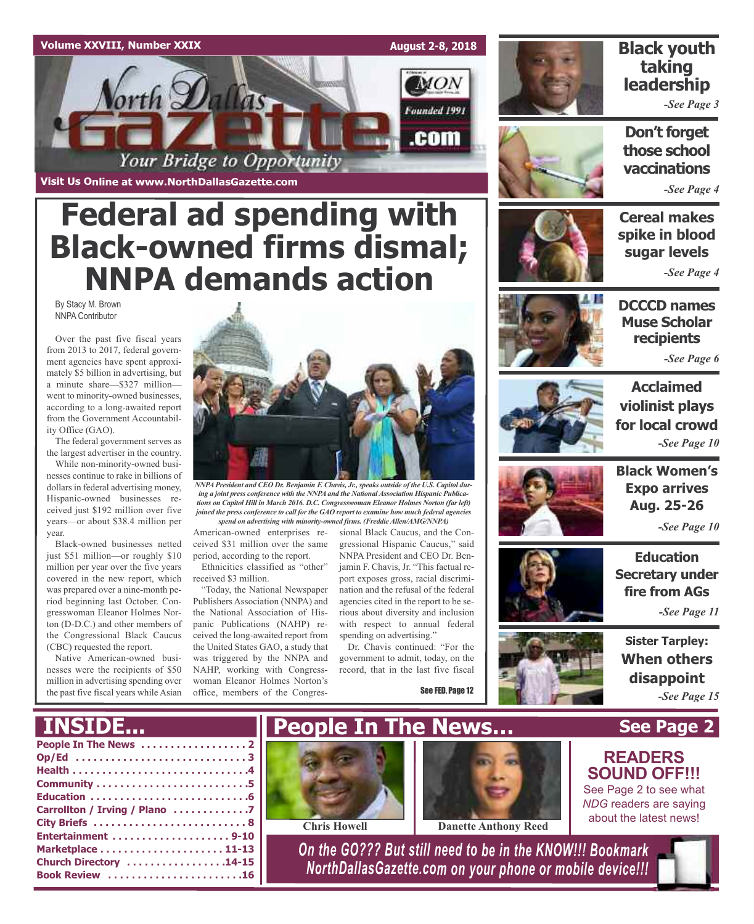#### **Volume XXVIII, Number XXIX**

**MON** *Vorth Dallas* Founded 1991 .com Your Bridge to Opportunity

**Visit Us Online at www.NorthDallasGazette.com**

## **Federal ad spending with Black-owned firms dismal; NNPA demands action**

By Stacy M. Brown NNPA Contributor

Over the past five fiscal years from 2013 to 2017, federal government agencies have spent approximately \$5 billion in advertising, but a minute share—\$327 million went to minority-owned businesses, according to a long-awaited report from the Government Accountability Office (GAO).

The federal government serves as the largest advertiser in the country.

While non-minority-owned businesses continue to rake in billions of dollars in federal advertising money, Hispanic-owned businesses received just \$192 million over five years—or about \$38.4 million per year.

Black-owned businesses netted just \$51 million—or roughly \$10 million per year over the five years covered in the new report, which was prepared over a nine-month period beginning last October. Congresswoman Eleanor Holmes Norton (D-D.C.) and other members of the Congressional Black Caucus (CBC) requested the report.

Native American-owned businesses were the recipients of \$50 million in advertising spending over the past five fiscal years while Asian



*NNPAPresident and CEO Dr. Benjamin F. Chavis, Jr., speaks outside of the U.S. Capitol during a joint press conference with the NNPAand the NationalAssociation Hispanic Publications on Capitol Hill in March 2016. D.C. Congresswoman Eleanor Holmes Norton (far left) joined the press conference to call for the GAO report to examine how much federal agencies spend on advertising with minority-owned firms. (FreddieAllen/AMG/NNPA)*

American-owned enterprises received \$31 million over the same period, according to the report. Ethnicities classified as "other"

received \$3 million. "Today, the National Newspaper Publishers Association (NNPA) and the National Association of His-

panic Publications (NAHP) received the long-awaited report from the United States GAO, a study that was triggered by the NNPA and NAHP, working with Congresswoman Eleanor Holmes Norton's office, members of the Congressional Black Caucus, and the Congressional Hispanic Caucus," said NNPA President and CEO Dr. Benjamin F. Chavis, Jr. "This factual report exposes gross, racial discrimination and the refusal of the federal agencies cited in the report to be serious about diversity and inclusion with respect to annual federal spending on advertising."

Dr. Chavis continued: "For the government to admit, today, on the record, that in the last five fiscal

See FED, Page 12



**August 2-8, 2018**

### **Black youth taking leadership**

*-See Page 3*

**Don't forget those school vaccinations**

*-See Page 4*

**Cereal makes spike in blood sugar levels**

*-See Page 4*



**DCCCD names Muse Scholar recipients**

*-See Page 6*



**Acclaimed violinist plays for local crowd** *-See Page 10*



**Black Women's Expo arrives Aug. 25-26**

*-See Page 10*

**Education Secretary under fire from AGs**

*-See Page 11*

**Sister Tarpley: When others disappoint** *-See Page 15*

**See Page 2**

**READERS SOUND OFF!!!** See Page 2 to see what *NDG* readers are saying about the latest news!

## **INSIDE...**







**Chris Howell Danette Anthony Reed**

*On the GO??? But still need to be in the KNOW!!! Bookmark NorthDallasGazette.com on your phone or mobile device!!!*

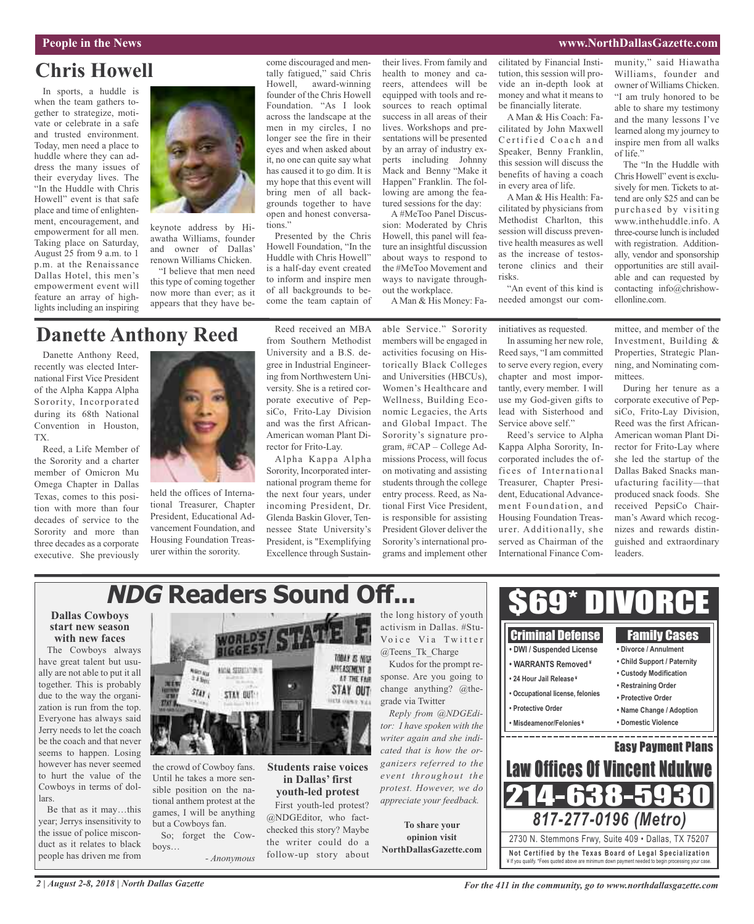#### **People in the News www.NorthDallasGazette.com**

## **Chris Howell**

In sports, a huddle is when the team gathers together to strategize, motivate or celebrate in a safe and trusted environment. Today, men need a place to huddle where they can address the many issues of their everyday lives. The "In the Huddle with Chris Howell" event is that safe place and time of enlightenment, encouragement, and empowerment for all men. Taking place on Saturday, August 25 from 9 a.m. to 1 p.m. at the Renaissance Dallas Hotel, this men's empowerment event will feature an array of highlights including an inspiring



keynote address by Hiawatha Williams, founder and owner of Dallas' renown Williams Chicken.

"I believe that men need this type of coming together now more than ever; as it appears that they have become discouraged and mentally fatigued," said Chris Howell, award-winning founder of the Chris Howell Foundation. "As I look across the landscape at the men in my circles, I no longer see the fire in their eyes and when asked about it, no one can quite say what has caused it to go dim. It is my hope that this event will bring men of all backgrounds together to have open and honest conversations."

Presented by the Chris Howell Foundation, "In the Huddle with Chris Howell" is a half-day event created to inform and inspire men of all backgrounds to become the team captain of their lives. From family and health to money and careers, attendees will be equipped with tools and resources to reach optimal success in all areas of their lives. Workshops and presentations will be presented by an array of industry experts including Johnny Mack and Benny "Make it Happen" Franklin. The following are among the featured sessions for the day:

A #MeToo Panel Discussion: Moderated by Chris Howell, this panel will feature an insightful discussion about ways to respond to the #MeToo Movement and ways to navigate throughout the workplace.

A Man & His Money: Fa-

cilitated by Financial Institution, this session will provide an in-depth look at money and what it means to be financially literate.

A Man & His Coach: Facilitated by John Maxwell Certified Coach and Speaker, Benny Franklin, this session will discuss the benefits of having a coach in every area of life.

A Man & His Health: Facilitated by physicians from Methodist Charlton, this session will discuss preventive health measures as well as the increase of testosterone clinics and their risks.

"An event of this kind is needed amongst our community," said Hiawatha Williams, founder and owner of Williams Chicken. "I am truly honored to be able to share my testimony and the many lessons I've learned along my journey to inspire men from all walks of life."

The "In the Huddle with Chris Howell" event is exclusively for men. Tickets to attend are only \$25 and can be purchased by visiting www.inthehuddle.info. A three-course lunch is included with registration. Additionally, vendor and sponsorship opportunities are still available and can requested by contacting info@chrishowellonline.com.

### **Danette Anthony Reed**

Danette Anthony Reed, recently was elected International First Vice President of the Alpha Kappa Alpha Sorority, Incorporated during its 68th National Convention in Houston, TX.

Reed, a Life Member of the Sorority and a charter member of Omicron Mu Omega Chapter in Dallas Texas, comes to this position with more than four decades of service to the Sorority and more than three decades as a corporate executive. She previously



held the offices of International Treasurer, Chapter President, Educational Advancement Foundation, and Housing Foundation Treasurer within the sorority.

Reed received an MBA from Southern Methodist University and a B.S. degree in Industrial Engineering from Northwestern University. She is a retired corporate executive of PepsiCo, Frito-Lay Division and was the first African-American woman Plant Director for Frito-Lay.

Alpha Kappa Alpha Sorority, Incorporated international program theme for the next four years, under incoming President, Dr. Glenda Baskin Glover, Tennessee State University's President, is "Exemplifying Excellence through Sustain-

**in Dallas' first youth-led protest** First youth-led protest? @NDGEditor, who factchecked this story? Maybe the writer could do a follow-up story about able Service." Sorority members will be engaged in activities focusing on Historically Black Colleges and Universities (HBCUs), Women's Healthcare and Wellness, Building Economic Legacies, the Arts and Global Impact. The Sorority's signature program, #CAP – College Admissions Process, will focus on motivating and assisting students through the college entry process. Reed, as National First Vice President, is responsible for assisting President Glover deliver the Sorority's international programs and implement other

initiatives as requested. In assuming her new role, Reed says, "I am committed to serve every region, every chapter and most importantly, every member. I will use my God-given gifts to lead with Sisterhood and Service above self."

Reed's service to Alpha Kappa Alpha Sorority, Incorporated includes the offices of International Treasurer, Chapter President, Educational Advancement Foundation, and Housing Foundation Treasurer. Additionally, she served as Chairman of the International Finance Com-

mittee, and member of the Investment, Building & Properties, Strategic Planning, and Nominating committees.

During her tenure as a corporate executive of PepsiCo, Frito-Lay Division, Reed was the first African-American woman Plant Director for Frito-Lay where she led the startup of the Dallas Baked Snacks manufacturing facility—that produced snack foods. She received PepsiCo Chairman's Award which recognizes and rewards distinguished and extraordinary leaders.

## **NDG Readers Sound Off...**

#### **Dallas Cowboys start new season with new faces**

The Cowboys always have great talent but usually are not able to put it all together. This is probably due to the way the organization is run from the top. Everyone has always said Jerry needs to let the coach be the coach and that never seems to happen. Losing however has never seemed to hurt the value of the Cowboys in terms of dollars.

Be that as it may…this year; Jerrys insensitivity to the issue of police misconduct as it relates to black people has driven me from



the crowd of Cowboy fans. Until he takes a more sensible position on the national anthem protest at the games, I will be anything but a Cowboys fan.

So; forget the Cowboys… *- Anonymous* the long history of youth activism in Dallas. #Stu-Voice Via Twitter @Teens\_Tk\_Charge Kudos for the prompt re-

sponse. Are you going to change anything? @thegrade via Twitter *Reply from @NDGEdi-*

*tor: I have spoken with the writer again and she indicated that is how the organizers referred to the event throughout the protest. However, we do appreciate your feedback.*

**To share your opinion visit NorthDallasGazette.com**



*For the 411 in the community, go to www.northdallasgazette.com*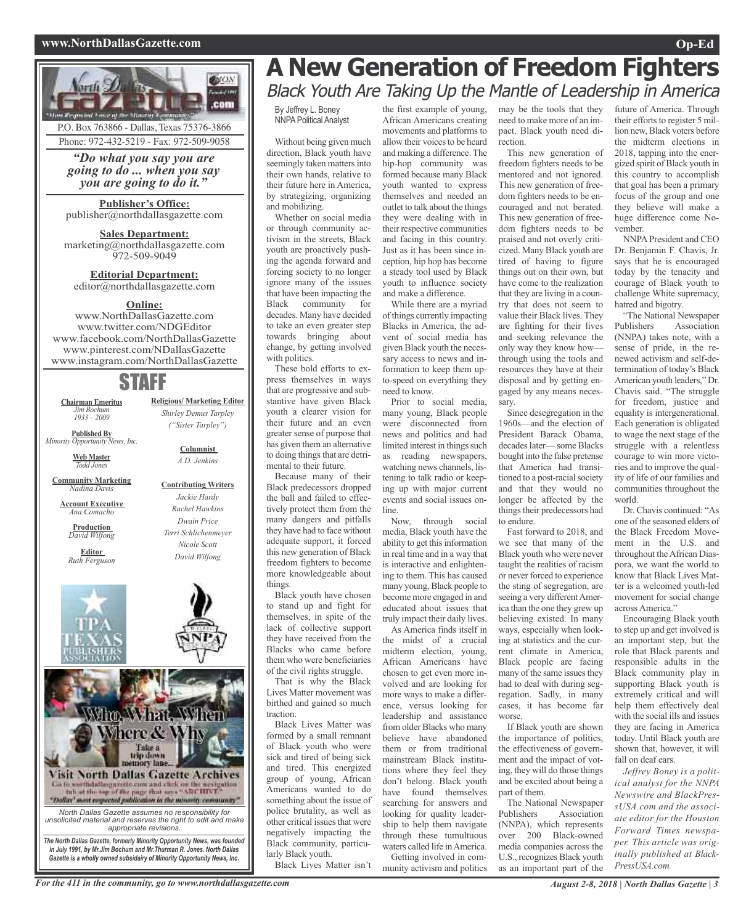#### **www.NorthDallasGazette.com Op-Ed**



Phone: 972-432-5219 - Fax: 972-509-9058

*"Do what you say you are going to do ... when you say you are going to do it."*

**Publisher's Office:** publisher@northdallasgazette.com

**Sales Department:** marketing@northdallasgazette.com 972-509-9049

**Editorial Department:** editor@northdallasgazette.com

#### **Online:**

www.NorthDallasGazette.com www.twitter.com/NDGEditor www.facebook.com/NorthDallasGazette www.pinterest.com/NDallasGazette www.instagram.com/NorthDallasGazette

## STAFF

**Religious/ Marketing Editor** *Shirley Demus Tarpley ("Sister Tarpley")*

> **Columnist** *A.D. Jenkins*

**Contributing Writers** *Jackie Hardy Rachel Hawkins Dwain Price Terri Schlichenmeyer Nicole Scott David Wilfong*

**Chairman Emeritus** *Jim Bochum 1933 – 2009*

**Published By** *Minority Opportunity News, Inc.*

> **Web Master** *Todd Jones*

**Community Marketing** *Nadina Davis*

**Account Executive** *Ana Comacho*

**Production** *David Wilfong*

**Editor** *Ruth Ferguson*





## **A New Generation of Freedom Fighters** Black Youth Are Taking Up the Mantle of Leadership in America

By Jeffrey L. Boney NNPA Political Analyst

Without being given much direction, Black youth have seemingly taken matters into their own hands, relative to their future here in America, by strategizing, organizing and mobilizing.

Whether on social media or through community activism in the streets, Black youth are proactively pushing the agenda forward and forcing society to no longer ignore many of the issues that have been impacting the Black community for decades. Many have decided to take an even greater step towards bringing about change, by getting involved with politics.

These bold efforts to express themselves in ways that are progressive and substantive have given Black youth a clearer vision for their future and an even greater sense of purpose that has given them an alternative to doing things that are detrimental to their future.

Because many of their Black predecessors dropped the ball and failed to effectively protect them from the many dangers and pitfalls they have had to face without adequate support, it forced this new generation of Black freedom fighters to become more knowledgeable about things.

Black youth have chosen to stand up and fight for themselves, in spite of the lack of collective support they have received from the Blacks who came before them who were beneficiaries of the civil rights struggle.

That is why the Black Lives Matter movement was birthed and gained so much traction.

Black Lives Matter was formed by a small remnant of Black youth who were sick and tired of being sick and tired. This energized group of young, African Americans wanted to do something about the issue of police brutality, as well as other critical issues that were negatively impacting the Black community, particularly Black youth.

Black Lives Matter isn't

the first example of young, African Americans creating movements and platforms to allow their voices to be heard and making a difference. The hip-hop community was formed because many Black youth wanted to express themselves and needed an outlet to talk about the things they were dealing with in their respective communities and facing in this country. Just as it has been since inception, hip hop has become a steady tool used by Black youth to influence society and make a difference. While there are a myriad

of things currently impacting Blacks in America, the advent of social media has given Black youth the necessary access to news and information to keep them upto-speed on everything they need to know.

Prior to social media, many young, Black people were disconnected from news and politics and had limited interest in things such as reading newspapers, watching news channels, listening to talk radio or keeping up with major current events and social issues online.

Now, through social media, Black youth have the ability to get this information in real time and in a way that is interactive and enlightening to them. This has caused many young, Black people to become more engaged in and educated about issues that truly impact their daily lives.

As America finds itself in the midst of a crucial midterm election, young, African Americans have chosen to get even more involved and are looking for more ways to make a difference, versus looking for leadership and assistance from older Blacks who many believe have abandoned them or from traditional mainstream Black institutions where they feel they don't belong. Black youth have found themselves searching for answers and looking for quality leadership to help them navigate through these tumultuous waters called life in America. Getting involved in community activism and politics may be the tools that they need to make more of an impact. Black youth need direction.

This new generation of freedom fighters needs to be mentored and not ignored. This new generation of freedom fighters needs to be encouraged and not berated. This new generation of freedom fighters needs to be praised and not overly criticized. Many Black youth are tired of having to figure things out on their own, but have come to the realization that they are living in a country that does not seem to value their Black lives. They are fighting for their lives and seeking relevance the only way they know how through using the tools and resources they have at their disposal and by getting engaged by any means necessary.

Since desegregation in the 1960s—and the election of President Barack Obama, decadeslater— some Blacks bought into the false pretense that America had transitioned to a post-racial society and that they would no longer be affected by the things their predecessors had to endure.

Fast forward to 2018, and we see that many of the Black youth who were never taught the realities of racism or never forced to experience the sting of segregation, are seeing a very different America than the one they grew up believing existed. In many ways, especially when looking at statistics and the current climate in America, Black people are facing many of the same issues they had to deal with during segregation. Sadly, in many cases, it has become far worse.

If Black youth are shown the importance of politics, the effectiveness of government and the impact of voting, they will do those things and be excited about being a part of them.

The National Newspaper Publishers Association (NNPA), which represents over 200 Black-owned media companies across the U.S., recognizes Black youth as an important part of the future of America. Through their efforts to register 5 million new, Black voters before the midterm elections in 2018, tapping into the energized spirit of Black youth in this country to accomplish that goal has been a primary focus of the group and one they believe will make a huge difference come November.

NNPA President and CEO Dr. Benjamin F. Chavis, Jr. says that he is encouraged today by the tenacity and courage of Black youth to challenge White supremacy, hatred and bigotry.

"The National Newspaper Publishers Association (NNPA) takes note, with a sense of pride, in the renewed activism and self-determination of today's Black American youth leaders," Dr. Chavis said. "The struggle for freedom, justice and equality is intergenerational. Each generation is obligated to wage the next stage of the struggle with a relentless courage to win more victories and to improve the quality of life of our families and communities throughout the world.

Dr. Chavis continued: "As one of the seasoned elders of the Black Freedom Movement in the U.S. and throughout the African Diaspora, we want the world to know that Black Lives Matter is a welcomed youth-led movement for social change across America."

Encouraging Black youth to step up and get involved is an important step, but the role that Black parents and responsible adults in the Black community play in supporting Black youth is extremely critical and will help them effectively deal with the social ills and issues they are facing in America today. Until Black youth are shown that, however, it will fall on deaf ears.

*Jeffrey Boney is a political analyst for the NNPA Newswire and BlackPressUSA.com and the associate editor for the Houston Forward Times newspaper. This article was originally published at Black-PressUSA.com.*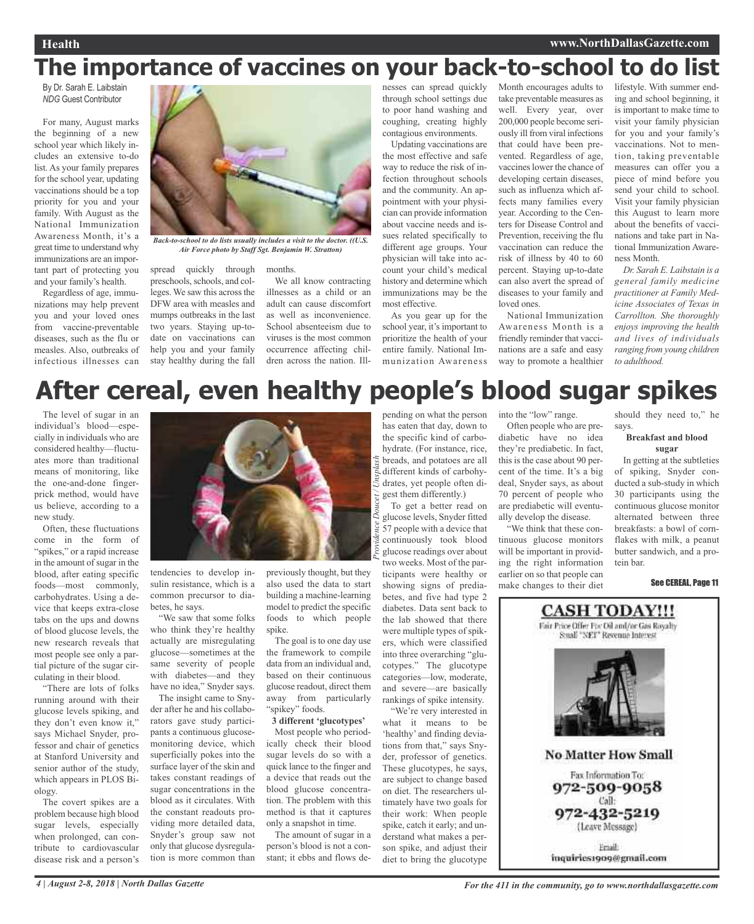## **The importance of vaccines on your back-to-school to do list**

By Dr. Sarah E. Laibstain *NDG* Guest Contributor

For many, August marks the beginning of a new school year which likely includes an extensive to-do list. As your family prepares for the school year, updating vaccinations should be a top priority for you and your family. With August as the National Immunization Awareness Month, it's a great time to understand why immunizations are an important part of protecting you and your family's health.

Regardless of age, immunizations may help prevent you and your loved ones from vaccine-preventable diseases, such as the flu or measles. Also, outbreaks of infectious illnesses can spread quickly through preschools, schools, and colleges. We saw this across the DFW area with measles and mumps outbreaks in the last two years. Staying up-todate on vaccinations can help you and your family stay healthy during the fall dren across the nation. Ill-*Air Force photo by Staff Sgt. Benjamin W. Stratton)*

months. We all know contracting illnesses as a child or an adult can cause discomfort as well as inconvenience. School absenteeism due to

viruses is the most common occurrence affecting chilnesses can spread quickly through school settings due to poor hand washing and coughing, creating highly contagious environments.

Updating vaccinations are the most effective and safe way to reduce the risk of infection throughout schools and the community. An appointment with your physician can provide information about vaccine needs and issues related specifically to different age groups. Your physician will take into account your child's medical history and determine which immunizations may be the most effective.

As you gear up for the school year, it's important to prioritize the health of your entire family. National Immunization Awareness Month encourages adults to take preventable measures as well. Every year, over 200,000 people become seriously ill from viral infections that could have been prevented. Regardless of age, vaccines lower the chance of developing certain diseases, such as influenza which affects many families every year. According to the Centers for Disease Control and Prevention, receiving the flu vaccination can reduce the risk of illness by 40 to 60 percent. Staying up-to-date can also avert the spread of diseases to your family and loved ones.

National Immunization Awareness Month is a friendly reminder that vaccinations are a safe and easy way to promote a healthier lifestyle. With summer ending and school beginning, it is important to make time to visit your family physician for you and your family's vaccinations. Not to mention, taking preventable measures can offer you a piece of mind before you send your child to school. Visit your family physician this August to learn more about the benefits of vaccinations and take part in National Immunization Awareness Month.

*Dr. Sarah E. Laibstain is a general family medicine practitioner at Family Medicine Associates of Texas in Carrollton. She thoroughly enjoys improving the health and lives of individuals ranging from young children to adulthood.*

## **After cereal, even healthy people's blood sugar spikes**

*Providence Doucet / Unsplash*

The level of sugar in an individual's blood—especially in individuals who are considered healthy—fluctuates more than traditional means of monitoring, like the one-and-done fingerprick method, would have us believe, according to a new study.

Often, these fluctuations come in the form of "spikes," or a rapid increase in the amount of sugar in the blood, after eating specific foods—most commonly, carbohydrates. Using a device that keeps extra-close tabs on the ups and downs of blood glucose levels, the new research reveals that most people see only a partial picture of the sugar circulating in their blood.

"There are lots of folks running around with their glucose levels spiking, and they don't even know it," says Michael Snyder, professor and chair of genetics at Stanford University and senior author of the study, which appears in PLOS Biology.

The covert spikes are a problem because high blood sugar levels, especially when prolonged, can contribute to cardiovascular disease risk and a person's



*Back-to-school to do lists usually includes a visit to the doctor. ((U.S.*

tendencies to develop insulin resistance, which is a common precursor to diabetes, he says.

"We saw that some folks who think they're healthy actually are misregulating glucose—sometimes at the same severity of people with diabetes—and they have no idea," Snyder says.

The insight came to Snyder after he and his collaborators gave study participants a continuous glucosemonitoring device, which superficially pokes into the surface layer of the skin and takes constant readings of sugar concentrations in the blood as it circulates. With the constant readouts providing more detailed data, Snyder's group saw not only that glucose dysregulation is more common than

previously thought, but they also used the data to start building a machine-learning model to predict the specific foods to which people spike.

The goal is to one day use the framework to compile data from an individual and, based on their continuous glucose readout, direct them away from particularly "spikey" foods.

**3 different 'glucotypes'**

Most people who periodically check their blood sugar levels do so with a quick lance to the finger and a device that reads out the blood glucose concentration. The problem with this method is that it captures only a snapshot in time.

The amount of sugar in a person's blood is not a constant; it ebbs and flows de-

pending on what the person has eaten that day, down to the specific kind of carbohydrate. (For instance, rice, breads, and potatoes are all different kinds of carbohydrates, yet people often digest them differently.)

To get a better read on glucose levels, Snyder fitted 57 people with a device that continuously took blood glucose readings over about two weeks. Most of the participants were healthy or showing signs of prediabetes, and five had type 2 diabetes. Data sent back to the lab showed that there were multiple types of spikers, which were classified into three overarching "glucotypes." The glucotype categories—low, moderate, and severe—are basically rankings of spike intensity.

"We're very interested in what it means to be 'healthy' and finding deviations from that," says Snyder, professor of genetics. These glucotypes, he says, are subject to change based on diet. The researchers ultimately have two goals for their work: When people spike, catch it early; and understand what makes a person spike, and adjust their diet to bring the glucotype

into the "low" range.

Often people who are prediabetic have no idea they're prediabetic. In fact, this is the case about 90 percent of the time. It's a big deal, Snyder says, as about 70 percent of people who are prediabetic will eventually develop the disease.

"We think that these continuous glucose monitors will be important in providing the right information earlier on so that people can make changes to their diet

should they need to," he says.

#### **Breakfast and blood sugar**

In getting at the subtleties of spiking, Snyder conducted a sub-study in which 30 participants using the continuous glucose monitor alternated between three breakfasts: a bowl of cornflakes with milk, a peanut butter sandwich, and a protein bar.

#### See CEREAL, Page 11

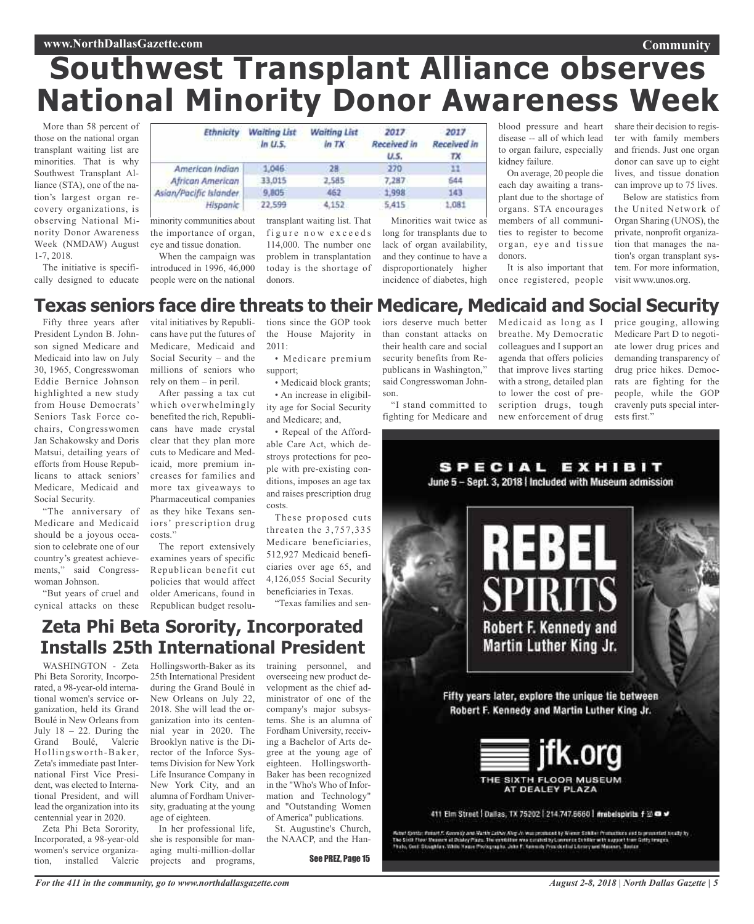## **Southwest Transplant Alliance observes National Minority Donor Awareness Week**

More than 58 percent of those on the national organ transplant waiting list are minorities. That is why Southwest Transplant Alliance (STA), one of the nation's largest organ recovery organizations, is observing National Minority Donor Awareness Week (NMDAW) August 1-7, 2018.

The initiative is specifically designed to educate

| Ethnicity<br>which is a processing the com- | <b>Waiting List</b><br>In U.5. | <b>Waiting List</b><br>$ln$ TX | 2017<br>Received in<br>U.S. | 2017<br>Received in |
|---------------------------------------------|--------------------------------|--------------------------------|-----------------------------|---------------------|
| American Indian                             | 1.046.                         |                                | 270                         |                     |
| <b>African American</b>                     | 33.015                         | 2585                           | 7,287                       | 544                 |
| ian/Pacific Islander                        | 9,805                          | 462                            | 1,998                       | 143                 |
| Hispanic                                    | 22,599                         | 4,152                          | 5.415                       | 1.081               |

minority communities about the importance of organ, eye and tissue donation.

As

When the campaign was introduced in 1996, 46,000 people were on the national

transplant waiting list. Th figure now excee  $114,000$ . The number o problem in transplantati today is the shortage donors.

| hat | Minorities wait twice as              |  |
|-----|---------------------------------------|--|
| d s | long for transplants due to           |  |
| ne  | lack of organ availability,           |  |
| ion | and they continue to have a           |  |
| of  | disproportionately higher             |  |
|     | in ni dan na caol dintrodunce (triatr |  |

son.

blood pressure and heart disease -- all of which lead to organ failure, especially kidney failure.

On average, 20 people die each day awaiting a transplant due to the shortage of organs. STA encourages members of all communities to register to become organ, eye and tissue donors.

incidence of diabetes, high once registered, people It is also important that

share their decision to register with family members and friends. Just one organ donor can save up to eight lives, and tissue donation can improve up to 75 lives.

**Community**

Below are statistics from the United Network of Organ Sharing (UNOS), the private, nonprofit organization that manages the nation's organ transplant system. For more information, visit www.unos.org.

### **Texas seniors face dire threats to their Medicare, Medicaid and Social Security**

Fifty three years after President Lyndon B. Johnson signed Medicare and Medicaid into law on July 30, 1965, Congresswoman Eddie Bernice Johnson highlighted a new study from House Democrats' Seniors Task Force cochairs, Congresswomen Jan Schakowsky and Doris Matsui, detailing years of efforts from House Republicans to attack seniors' Medicare, Medicaid and Social Security.

"The anniversary of Medicare and Medicaid should be a joyous occasion to celebrate one of our country's greatest achievements," said Congresswoman Johnson.

"But years of cruel and cynical attacks on these

vital initiatives by Republicans have put the futures of Medicare, Medicaid and Social Security – and the millions of seniors who rely on them – in peril.

After passing a tax cut which overwhelmingly benefited the rich, Republicans have made crystal clear that they plan more cuts to Medicare and Medicaid, more premium increases for families and more tax giveaways to Pharmaceutical companies as they hike Texans seniors' prescription drug costs."

The report extensively examines years of specific Republican benefit cut policies that would affect older Americans, found in Republican budget resolutions since the GOP took the House Majority in 2011: • Medicare premium

support; • Medicaid block grants; • An increase in eligibility age for Social Security

and Medicare; and, • Repeal of the Affordable Care Act, which destroys protections for people with pre-existing conditions, imposes an age tax and raises prescription drug costs.

These proposed cuts threaten the 3,757,335 Medicare beneficiaries, 512,927 Medicaid beneficiaries over age 65, and 4,126,055 Social Security beneficiaries in Texas.

"Texas families and sen-

### **Zeta Phi Beta Sorority, Incorporated Installs 25th International President**

WASHINGTON - Zeta Phi Beta Sorority, Incorporated, a 98-year-old international women's service organization, held its Grand Boulé in New Orleans from July  $18 - 22$ . During the Grand Boulé, Valerie Hollingsworth-Baker, Zeta's immediate past International First Vice President, was elected to International President, and will lead the organization into its centennial year in 2020.

Zeta Phi Beta Sorority, Incorporated, a 98-year-old women's service organization, installed Valerie

Hollingsworth-Baker as its 25th International President during the Grand Boulé in New Orleans on July 22, 2018. She will lead the organization into its centennial year in 2020. The Brooklyn native is the Director of the Inforce Systems Division for New York Life Insurance Company in New York City, and an alumna of Fordham University, graduating at the young age of eighteen. In her professional life,

she is responsible for managing multi-million-dollar projects and programs,

training personnel, and overseeing new product development as the chief administrator of one of the company's major subsystems. She is an alumna of Fordham University, receiving a Bachelor of Arts degree at the young age of eighteen. Hollingsworth-Baker has been recognized in the "Who's Who of Information and Technology" and "Outstanding Women of America" publications.

St. Augustine's Church, the NAACP, and the Han-

See PREZ, Page 15

iors deserve much better Medicaid as long as I than constant attacks on their health care and social security benefits from Republicans in Washington," said Congresswoman John-"I stand committed to

fighting for Medicare and new enforcement of drug

breathe. My Democratic colleagues and I support an agenda that offers policies that improve lives starting with a strong, detailed plan to lower the cost of prescription drugs, tough

Medicare Part D to negotiate lower drug prices and demanding transparency of drug price hikes. Democrats are fighting for the people, while the GOP cravenly puts special interests first."

price gouging, allowing



411 Elm Street | Dallas, TX 75202 | 214.747.6660 | mebelspirits f 33 @ #

Ashet Spatte Pontet F. Georgie and Math Cathet Airp at Museomnad by Noore Sokket From these sed to provented books by<br>The Sixth Flow Museon at Dodey Plaza. The earth fore was catabolity Lourners Schiller with august from G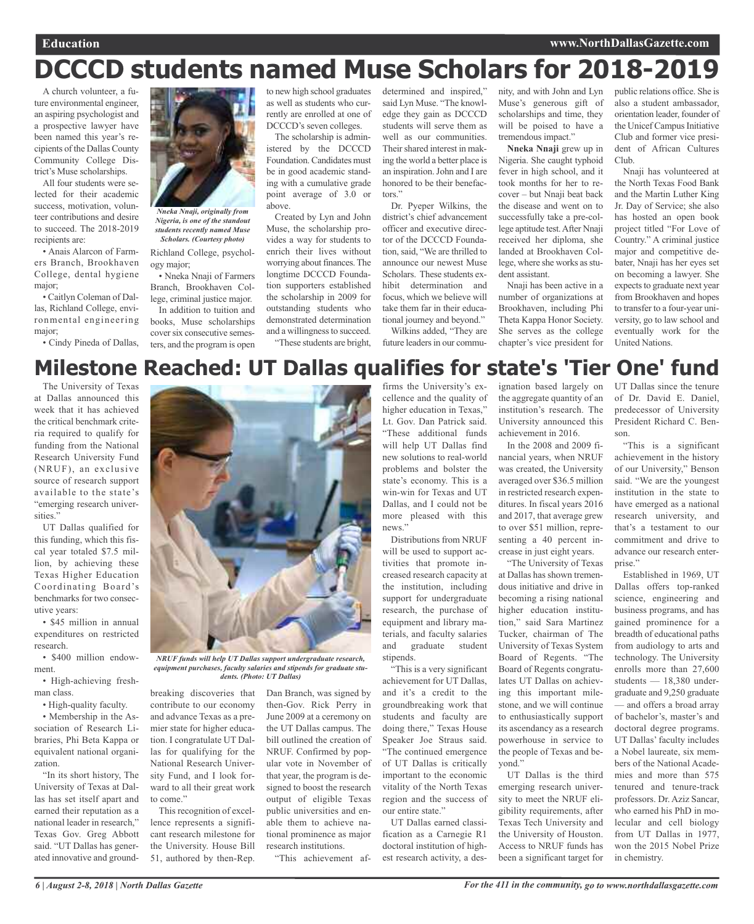## **DCCCD students named Muse Scholars for 2018-2019**

A church volunteer, a future environmental engineer, an aspiring psychologist and a prospective lawyer have been named this year's recipients of the Dallas County Community College District's Muse scholarships.

All four students were selected for their academic success, motivation, volunteer contributions and desire to succeed. The 2018-2019 recipients are:

• Anais Alarcon of Farmers Branch, Brookhaven College, dental hygiene major;

• Caitlyn Coleman of Dallas, Richland College, environmental engineering major;

• Cindy Pineda of Dallas,



*Nneka Nnaji, originally from Nigeria, is one of the standout students recently named Muse Scholars. (Courtesy photo)*

Richland College, psychology major;

• Nneka Nnaji of Farmers Branch, Brookhaven College, criminal justice major. In addition to tuition and books, Muse scholarships cover six consecutive semesters, and the program is open to new high school graduates as well as students who currently are enrolled at one of DCCCD's seven colleges.

The scholarship is administered by the DCCCD Foundation. Candidates must be in good academic standing with a cumulative grade point average of 3.0 or above.

Created by Lyn and John Muse, the scholarship provides a way for students to enrich their lives without worrying about finances. The longtime DCCCD Foundation supporters established the scholarship in 2009 for outstanding students who demonstrated determination and a willingness to succeed. "These students are bright, determined and inspired," said Lyn Muse. "The knowledge they gain as DCCCD students will serve them as well as our communities. Their shared interest in making the world a better place is an inspiration.John and I are honored to be their benefactors."

Dr. Pyeper Wilkins, the district's chief advancement officer and executive director of the DCCCD Foundation, said, "We are thrilled to announce our newest Muse Scholars. These students exhibit determination and focus, which we believe will take them far in their educational journey and beyond." Wilkins added, "They are

future leaders in our commu-

nity, and with John and Lyn Muse's generous gift of scholarships and time, they will be poised to have a tremendous impact."

**Nneka Nnaji** grew up in Nigeria. She caught typhoid fever in high school, and it took months for her to recover – but Nnaji beat back the disease and went on to successfully take a pre-college aptitude test.After Nnaji received her diploma, she landed at Brookhaven College, where she works as student assistant.

Nnaji has been active in a number of organizations at Brookhaven, including Phi Theta Kappa Honor Society. She serves as the college chapter's vice president for public relations office. She is also a student ambassador, orientation leader, founder of the Unicef Campus Initiative Club and former vice president of African Cultures Club.

Nnaji has volunteered at the North Texas Food Bank and the Martin Luther King Jr. Day of Service; she also has hosted an open book project titled "For Love of Country." A criminal justice major and competitive debater, Nnaji has her eyes set on becoming a lawyer. She expects to graduate next year from Brookhaven and hopes to transfer to a four-year university, go to law school and eventually work for the United Nations.

## **Milestone Reached: UT Dallas qualifies for state's 'Tier One' fund**

The University of Texas at Dallas announced this week that it has achieved the critical benchmark criteria required to qualify for funding from the National Research University Fund (NRUF), an exclusive source of research support available to the state's "emerging research universities."

UT Dallas qualified for this funding, which this fiscal year totaled \$7.5 million, by achieving these Texas Higher Education Coordinating Board's benchmarks for two consecutive years:

• \$45 million in annual expenditures on restricted research.

• \$400 million endowment.

• High-achieving freshman class.

• High-quality faculty.

• Membership in the Association of Research Libraries, Phi Beta Kappa or equivalent national organization.

"In its short history, The University of Texas at Dallas has set itself apart and earned their reputation as a national leader in research," Texas Gov. Greg Abbott said. "UT Dallas has generated innovative and ground-



*NRUF funds will help UT Dallas support undergraduate research, equipment purchases, faculty salaries and stipends for graduate students. (Photo: UT Dallas)*

Dan Branch, was signed by then-Gov. Rick Perry in June 2009 at a ceremony on the UT Dallas campus. The bill outlined the creation of NRUF. Confirmed by popular vote in November of that year, the program is designed to boost the research output of eligible Texas public universities and enable them to achieve national prominence as major research institutions.

"This achievement af-

breaking discoveries that contribute to our economy and advance Texas as a premier state for higher education. I congratulate UT Dallas for qualifying for the National Research University Fund, and I look forward to all their great work to come."

This recognition of excellence represents a significant research milestone for the University. House Bill 51, authored by then-Rep.

firms the University's excellence and the quality of higher education in Texas," Lt. Gov. Dan Patrick said. "These additional funds will help UT Dallas find new solutions to real-world problems and bolster the state's economy. This is a win-win for Texas and UT Dallas, and I could not be more pleased with this news."

Distributions from NRUF will be used to support activities that promote increased research capacity at the institution, including support for undergraduate research, the purchase of equipment and library materials, and faculty salaries and graduate student stipends.

"This is a very significant achievement for UT Dallas, and it's a credit to the groundbreaking work that students and faculty are doing there," Texas House Speaker Joe Straus said. "The continued emergence of UT Dallas is critically important to the economic vitality of the North Texas region and the success of our entire state."

UT Dallas earned classification as a Carnegie R1 doctoral institution of highest research activity, a des-

ignation based largely on UT Dallas since the tenure the aggregate quantity of an institution's research. The University announced this achievement in 2016.

In the 2008 and 2009 financial years, when NRUF was created, the University averaged over \$36.5 million in restricted research expenditures. In fiscal years 2016 and 2017, that average grew to over \$51 million, representing a 40 percent increase in just eight years.

"The University of Texas at Dallas has shown tremendous initiative and drive in becoming a rising national higher education institution," said Sara Martinez Tucker, chairman of The University of Texas System Board of Regents. "The Board of Regents congratulates UT Dallas on achieving this important milestone, and we will continue to enthusiastically support its ascendancy as a research powerhouse in service to the people of Texas and beyond."

UT Dallas is the third emerging research university to meet the NRUF eligibility requirements, after Texas Tech University and the University of Houston. Access to NRUF funds has been a significant target for of Dr. David E. Daniel, predecessor of University President Richard C. Benson.

"This is a significant achievement in the history of our University," Benson said. "We are the youngest institution in the state to have emerged as a national research university, and that's a testament to our commitment and drive to advance our research enterprise."

Established in 1969, UT Dallas offers top-ranked science, engineering and business programs, and has gained prominence for a breadth of educational paths from audiology to arts and technology. The University enrolls more than 27,600 students — 18,380 undergraduate and 9,250 graduate — and offers a broad array of bachelor's, master's and doctoral degree programs. UT Dallas' faculty includes a Nobel laureate, six members of the National Academies and more than 575 tenured and tenure-track professors. Dr. Aziz Sancar, who earned his PhD in molecular and cell biology from UT Dallas in 1977, won the 2015 Nobel Prize in chemistry.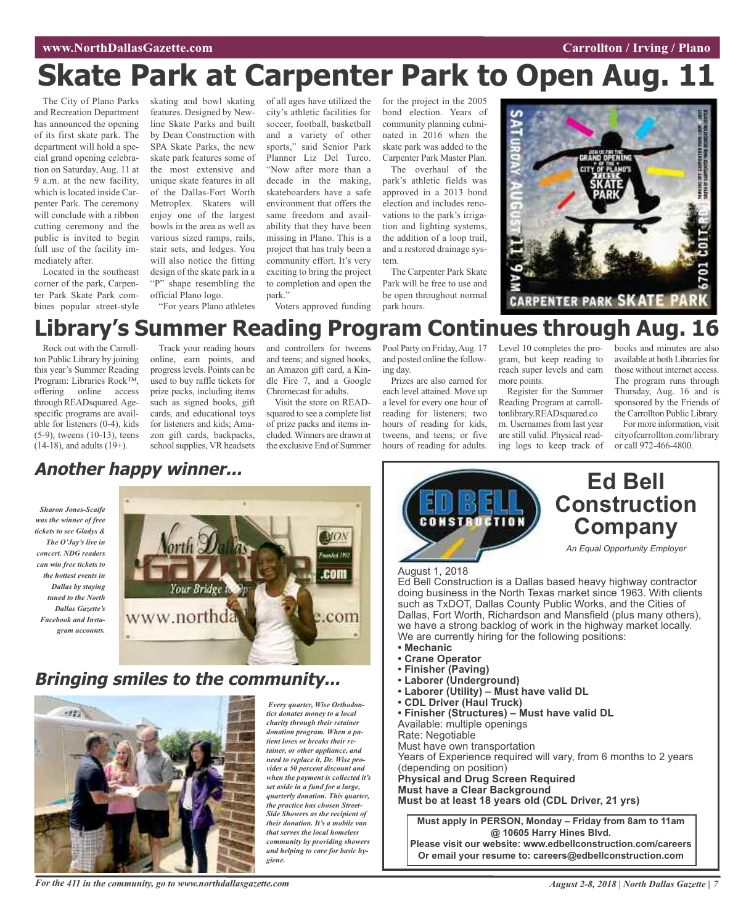#### **EXECUTE: ENTERTAINMENT CONSTRUCTER <b>CARRY CARRY CARRY CARRY CARRY CARRY CARRY CARRY PLANO**

## **Skate Park at Carpenter Park to Open Aug. 11**

The City of Plano Parks and Recreation Department has announced the opening of its first skate park. The department will hold a special grand opening celebration on Saturday, Aug. 11 at 9 a.m. at the new facility, which is located inside Carpenter Park. The ceremony will conclude with a ribbon cutting ceremony and the public is invited to begin full use of the facility immediately after.

Located in the southeast corner of the park, Carpenter Park Skate Park combines popular street-style

skating and bowl skating features. Designed by Newline Skate Parks and built by Dean Construction with SPA Skate Parks, the new skate park features some of the most extensive and unique skate features in all of the Dallas-Fort Worth Metroplex. Skaters will enjoy one of the largest bowls in the area as well as various sized ramps, rails, stair sets, and ledges. You will also notice the fitting design of the skate park in a "P" shape resembling the official Plano logo.

"For years Plano athletes

of all ages have utilized the city's athletic facilities for soccer, football, basketball and a variety of other sports," said Senior Park Planner Liz Del Turco. "Now after more than a decade in the making, skateboarders have a safe environment that offers the same freedom and availability that they have been missing in Plano. This is a project that has truly been a community effort. It's very exciting to bring the project to completion and open the park."

Voters approved funding

for the project in the 2005 bond election. Years of community planning culminated in 2016 when the skate park was added to the Carpenter Park Master Plan.

The overhaul of the park's athletic fields was approved in a 2013 bond election and includes renovations to the park's irrigation and lighting systems, the addition of a loop trail, and a restored drainage system.

The Carpenter Park Skate Park will be free to use and be open throughout normal park hours.



## **Library's Summer Reading Program Continues through Aug.**

Rock out with the Carrollton Public Library by joining this year's Summer Reading Program: Libraries Rock™, offering online access through READsquared.Agespecific programs are available for listeners (0-4), kids (5-9), tweens (10-13), teens (14-18), and adults (19+).

Track your reading hours online, earn points, and progresslevels. Points can be used to buy raffle tickets for prize packs, including items such as signed books, gift cards, and educational toys for listeners and kids; Amazon gift cards, backpacks, school supplies, VR headsets and controllers for tweens and teens; and signed books, an Amazon gift card, a Kindle Fire 7, and a Google Chromecast for adults.

Visit the store on READsquared to see a complete list of prize packs and items included.Winners are drawn at the exclusive End of Summer

Pool Party on Friday, Aug. 17 and posted online the following day.

Prizes are also earned for each level attained. Move up a level for every one hour of reading for listeners; two hours of reading for kids, tweens, and teens; or five hours of reading for adults.

Level 10 completes the program, but keep reading to reach super levels and earn more points.

Register for the Summer Reading Program at carrolltonlibrary.READsquared.co m. Usernames from last year are still valid. Physical reading logs to keep track of books and minutes are also available at both Libraries for those without internet access. The program runs through Thursday, Aug. 16 and is sponsored by the Friends of the Carrollton Public Library.

For more information, visit cityofcarrollton.com/library or call 972-466-4800.

## **Another happy winner...**

*Sharon Jones-Scaife was the winner of free tickets to see Gladys & The O'Jay's live in concert. NDG readers can win free tickets to the hottest events in Dallas by staying tuned to the North Dallas Gazette's Facebook and Instagram accounts.*



### **Bringing smiles to the community...**



*Every quarter, Wise Orthodontics donates money to a local charity through their retainer donation program. When a patient loses or breaks their retainer, or other appliance, and need to replace it, Dr. Wise provides a 50 percent discount and when the payment is collected it's set aside in a fund for a large, quarterly donation. This quarter, the practice has chosen Street-Side Showers as the recipient of their donation. It's a mobile van that serves the local homeless community by providing showers and helping to care for basic hygiene.*



Ed Bell Construction is a Dallas based heavy highway contractor doing business in the North Texas market since 1963. With clients such as TxDOT, Dallas County Public Works, and the Cities of Dallas, Fort Worth, Richardson and Mansfield (plus many others), we have a strong backlog of work in the highway market locally. We are currently hiring for the following positions:

- **• Mechanic**
- **• Crane Operator**
- **• Finisher (Paving)**
- **• Laborer (Underground)**
- **• Laborer (Utility) – Must have valid DL**
- **• CDL Driver (Haul Truck)**
- **• Finisher (Structures) – Must have valid DL**

Available: multiple openings

Rate: Negotiable Must have own transportation

Years of Experience required will vary, from 6 months to 2 years (depending on position) **Physical and Drug Screen Required Must have a Clear Background**

**Must be at least 18 years old (CDL Driver, 21 yrs)**

**Must apply in PERSON, Monday – Friday from 8am to 11am @ 10605 Harry Hines Blvd. Please visit our website: www.edbellconstruction.com/careers**

**Or email your resume to: careers@edbellconstruction.com**

For the 411 in the community, go to www.northdallasgazette.com August 2-8, 2018 | North Dallas Gazette | 7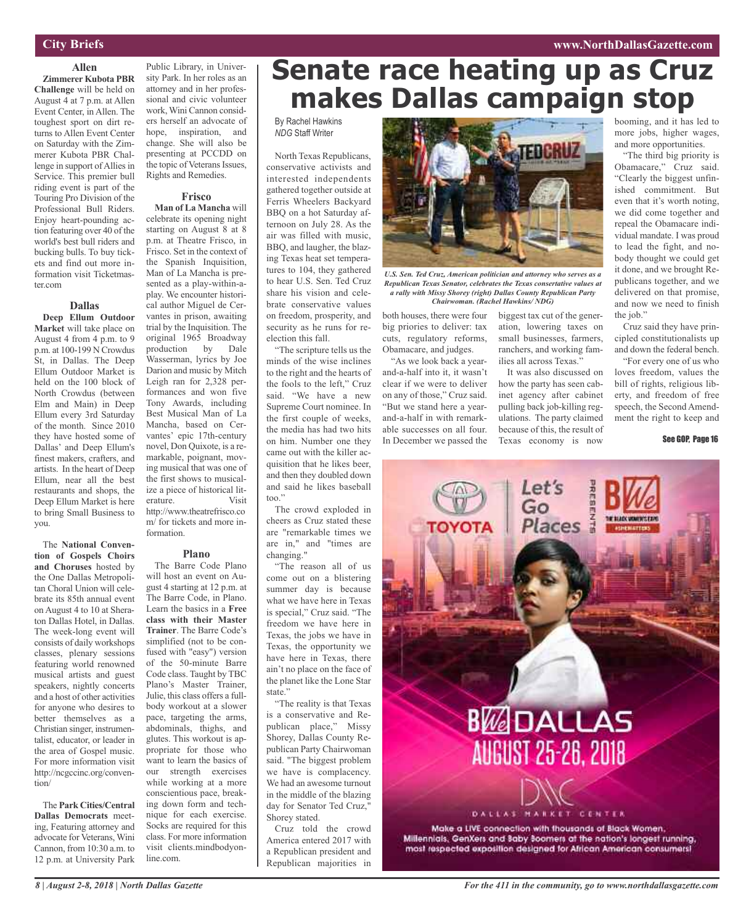#### **www.NorthDallasGazette.com**

#### **City Briefs**

#### **Allen Zimmerer Kubota PBR**

**Challenge** will be held on August 4 at 7 p.m. at Allen Event Center, in Allen. The toughest sport on dirt returns to Allen Event Center on Saturday with the Zimmerer Kubota PBR Challenge in support of Allies in Service. This premier bull riding event is part of the Touring Pro Division of the Professional Bull Riders. Enjoy heart-pounding action featuring over 40 of the world's best bull riders and bucking bulls. To buy tickets and find out more information visit Ticketmaster.com

#### **Dallas**

**Deep Ellum Outdoor Market** will take place on August 4 from 4 p.m. to 9 p.m. at 100-199 N Crowdus St, in Dallas. The Deep Ellum Outdoor Market is held on the 100 block of North Crowdus (between Elm and Main) in Deep Ellum every 3rd Saturday of the month. Since 2010 they have hosted some of Dallas' and Deep Ellum's finest makers, crafters, and artists. In the heart of Deep Ellum, near all the best restaurants and shops, the Deep Ellum Market is here to bring Small Business to you.

The **National Convention of Gospels Choirs and Choruses** hosted by the One Dallas Metropolitan Choral Union will celebrate its 85th annual event on August 4 to 10 at Sheraton Dallas Hotel, in Dallas. The week-long event will consists of daily workshops classes, plenary sessions featuring world renowned musical artists and guest speakers, nightly concerts and a host of other activities for anyone who desires to better themselves as a Christian singer, instrumentalist, educator, or leader in the area of Gospel music. For more information visit http://ncgccinc.org/convention/

The **Park Cities/Central Dallas Democrats** meeting, Featuring attorney and advocate for Veterans, Wini Cannon, from 10:30 a.m. to 12 p.m. at University Park

Public Library, in University Park. In her roles as an attorney and in her professional and civic volunteer work, Wini Cannon considers herself an advocate of hope, inspiration, and change. She will also be presenting at PCCDD on the topic of Veterans Issues, Rights and Remedies.

#### **Frisco**

**Man of La Mancha** will celebrate its opening night starting on August 8 at 8 p.m. at Theatre Frisco, in Frisco. Set in the context of the Spanish Inquisition, Man of La Mancha is presented as a play-within-aplay. We encounter historical author Miguel de Cervantes in prison, awaiting trial by the Inquisition. The original 1965 Broadway<br>production by Dale production by Wasserman, lyrics by Joe Darion and music by Mitch Leigh ran for 2,328 performances and won five Tony Awards, including Best Musical Man of La Mancha, based on Cervantes' epic 17th-century novel, Don Quixote, is a remarkable, poignant, moving musical that was one of the first shows to musicalize a piece of historical literature. http://www.theatrefrisco.co m/ for tickets and more information.

#### **Plano**

The Barre Code Plano will host an event on August 4 starting at 12 p.m. at The Barre Code, in Plano. Learn the basics in a **Free class with their Master Trainer**. The Barre Code's simplified (not to be confused with "easy") version of the 50-minute Barre Code class. Taught by TBC Plano's Master Trainer, Julie, this class offers a fullbody workout at a slower pace, targeting the arms, abdominals, thighs, and glutes. This workout is appropriate for those who want to learn the basics of our strength exercises while working at a more conscientious pace, breaking down form and technique for each exercise. Socks are required for this class. For more information visit clients.mindbodyonline.com.

## **Senate race heating up as Cruz makes Dallas campaign stop**

#### By Rachel Hawkins *NDG* Staff Writer

North Texas Republicans, conservative activists and interested independents gathered together outside at Ferris Wheelers Backyard BBQ on a hot Saturday afternoon on July 28. As the air was filled with music, BBQ, and laugher, the blazing Texas heat set temperatures to 104, they gathered to hear U.S. Sen. Ted Cruz share his vision and celebrate conservative values on freedom, prosperity, and security as he runs for reelection this fall.

"The scripture tells us the minds of the wise inclines to the right and the hearts of the fools to the left," Cruz said. "We have a new Supreme Court nominee. In the first couple of weeks, the media has had two hits on him. Number one they came out with the killer acquisition that he likes beer, and then they doubled down and said he likes baseball too."

The crowd exploded in cheers as Cruz stated these are "remarkable times we are in," and "times are changing."

"The reason all of us come out on a blistering summer day is because what we have here in Texas is special," Cruz said. "The freedom we have here in Texas, the jobs we have in Texas, the opportunity we have here in Texas, there ain't no place on the face of the planet like the Lone Star state."

"The reality is that Texas is a conservative and Republican place," Missy Shorey, Dallas County Republican Party Chairwoman said. "The biggest problem we have is complacency. We had an awesome turnout in the middle of the blazing day for Senator Ted Cruz," Shorey stated.

Cruz told the crowd America entered 2017 with a Republican president and Republican majorities in



*U.S. Sen. Ted Cruz, American politician and attorney who serves as a Republican Texas Senator, celebrates the Texas consertative values at a rally with Missy Shorey (right) Dallas County Republican Party Chairwoman. (Rachel Hawkins/ NDG)*

both houses, there were four big priories to deliver: tax cuts, regulatory reforms, Obamacare, and judges.

"As we look back a yearand-a-half into it, it wasn't clear if we were to deliver on any of those," Cruz said. "But we stand here a yearand-a-half in with remarkable successes on all four. In December we passed the

biggest tax cut of the generation, lowering taxes on small businesses, farmers, ranchers, and working families all across Texas."

It was also discussed on how the party has seen cabinet agency after cabinet pulling back job-killing regulations. The party claimed because of this, the result of Texas economy is now

booming, and it has led to more jobs, higher wages, and more opportunities.

"The third big priority is Obamacare," Cruz said. "Clearly the biggest unfinished commitment. But even that it's worth noting, we did come together and repeal the Obamacare individual mandate. I was proud to lead the fight, and nobody thought we could get it done, and we brought Republicans together, and we delivered on that promise, and now we need to finish the job."

Cruz said they have principled constitutionalists up and down the federal bench.

"For every one of us who loves freedom, values the bill of rights, religious liberty, and freedom of free speech, the Second Amendment the right to keep and

See GOP, Page 16

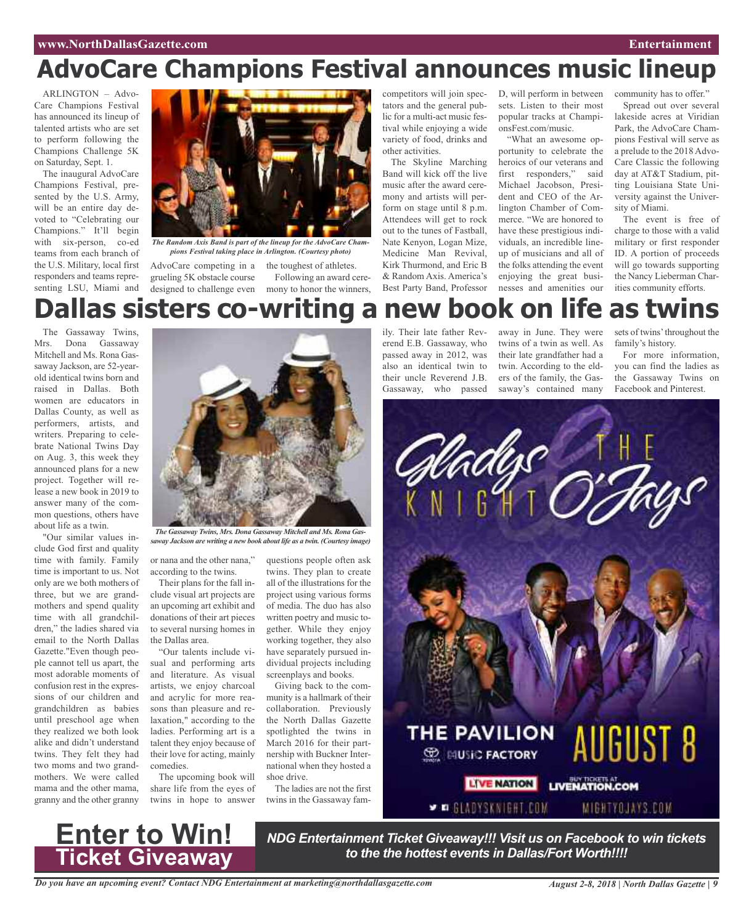#### **www.NorthDallasGazette.com Entertainment**

## **AdvoCare Champions Festival announces music lineup**

ARLINGTON – Advo-Care Champions Festival has announced its lineup of talented artists who are set to perform following the Champions Challenge 5K on Saturday, Sept. 1.

The inaugural AdvoCare Champions Festival, presented by the U.S. Army, will be an entire day devoted to "Celebrating our Champions." It'll begin with six-person, co-ed teams from each branch of the U.S. Military, local first responders and teams representing LSU, Miami and



*The Random Axis Band is part of the lineup for the AdvoCare Champions Festival taking place in Arlington. (Courtesy photo)*

AdvoCare competing in a the toughest of athletes. grueling 5K obstacle course

designed to challenge even mony to honor the winners, Following an award cerecompetitors will join spectators and the general public for a multi-act music festival while enjoying a wide variety of food, drinks and other activities.

The Skyline Marching Band will kick off the live music after the award ceremony and artists will perform on stage until 8 p.m. Attendees will get to rock out to the tunes of Fastball, Nate Kenyon, Logan Mize, Medicine Man Revival, Kirk Thurmond, and Eric B & Random Axis. America's Best Party Band, Professor

D, will perform in between sets. Listen to their most popular tracks at ChampionsFest.com/music.

"What an awesome opportunity to celebrate the heroics of our veterans and first responders," said Michael Jacobson, President and CEO of the Arlington Chamber of Commerce. "We are honored to have these prestigious individuals, an incredible lineup of musicians and all of the folks attending the event enjoying the great businesses and amenities our

community has to offer."

Spread out over several lakeside acres at Viridian Park, the AdvoCare Champions Festival will serve as a prelude to the 2018 Advo-Care Classic the following day at AT&T Stadium, pitting Louisiana State University against the University of Miami.

The event is free of charge to those with a valid military or first responder ID. A portion of proceeds will go towards supporting the Nancy Lieberman Charities community efforts.

## **Dallas sisters co-writing a new book on life as twins**

The Gassaway Twins, Mrs. Dona Gassaway Mitchell and Ms. Rona Gassaway Jackson, are 52-yearold identical twins born and raised in Dallas. Both women are educators in Dallas County, as well as performers, artists, and writers. Preparing to celebrate National Twins Day on Aug. 3, this week they announced plans for a new project. Together will release a new book in 2019 to answer many of the common questions, others have about life as a twin.

"Our similar values include God first and quality time with family. Family time is important to us. Not only are we both mothers of three, but we are grandmothers and spend quality time with all grandchildren," the ladies shared via email to the North Dallas Gazette."Even though people cannot tell us apart, the most adorable moments of confusion rest in the expressions of our children and grandchildren as babies until preschool age when they realized we both look alike and didn't understand twins. They felt they had two moms and two grandmothers. We were called mama and the other mama, granny and the other granny



*saway Jackson are writing a new book about life as a twin. (Courtesy image)*

or nana and the other nana," according to the twins.

Their plans for the fall include visual art projects are an upcoming art exhibit and donations of their art pieces to several nursing homes in the Dallas area.

"Our talents include visual and performing arts and literature. As visual artists, we enjoy charcoal and acrylic for more reasons than pleasure and relaxation," according to the ladies. Performing art is a talent they enjoy because of their love for acting, mainly comedies.

The upcoming book will share life from the eyes of twins in hope to answer

**Enter to Win!**

**Ticket Giveaway**

questions people often ask twins. They plan to create all of the illustrations for the project using various forms of media. The duo has also written poetry and music together. While they enjoy working together, they also have separately pursued individual projects including screenplays and books.

Giving back to the community is a hallmark of their collaboration. Previously the North Dallas Gazette spotlighted the twins in March 2016 for their partnership with Buckner International when they hosted a shoe drive.

The ladies are not the first twins in the Gassaway family. Their late father Reverend E.B. Gassaway, who passed away in 2012, was also an identical twin to their uncle Reverend J.B. Gassaway, who passed

away in June. They were twins of a twin as well. As their late grandfather had a twin. According to the elders of the family, the Gassaway's contained many

sets of twins' throughout the family's history.

For more information, you can find the ladies as the Gassaway Twins on Facebook and Pinterest.



*NDG Entertainment Ticket Giveaway!!! Visit us on Facebook to win tickets to the the hottest events in Dallas/Fort Worth!!!!*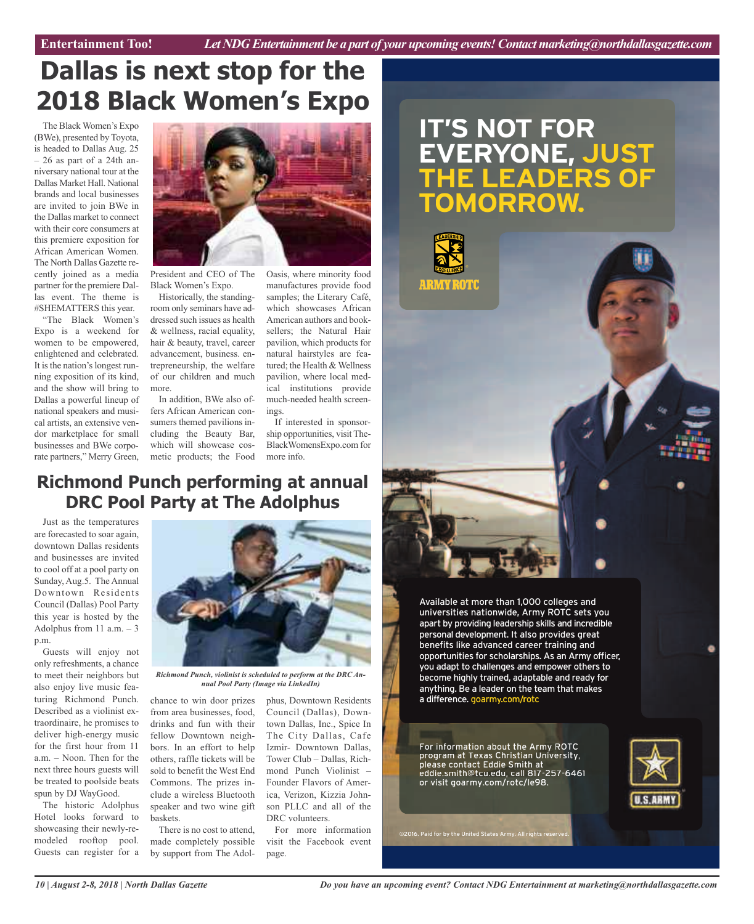## **Dallas is next stop for the 2018 Black Women's Expo**

The Black Women's Expo (BWe), presented by Toyota, is headed to Dallas Aug. 25 – 26 as part of a 24th anniversary national tour at the Dallas Market Hall. National brands and local businesses are invited to join BWe in the Dallas market to connect with their core consumers at this premiere exposition for African American Women. The North Dallas Gazette recently joined as a media partner for the premiere Dallas event. The theme is #SHEMATTERS this year.

"The Black Women's Expo is a weekend for women to be empowered, enlightened and celebrated. It is the nation's longest running exposition of its kind, and the show will bring to Dallas a powerful lineup of national speakers and musical artists, an extensive vendor marketplace for small businesses and BWe corporate partners," Merry Green,



President and CEO of The Black Women's Expo.

Historically, the standingroom only seminars have addressed such issues as health & wellness, racial equality, hair & beauty, travel, career advancement, business. entrepreneurship, the welfare of our children and much more.

In addition, BWe also offers African American consumers themed pavilions including the Beauty Bar, which will showcase cosmetic products; the Food

Oasis, where minority food manufactures provide food samples; the Literary Café, which showcases African American authors and booksellers; the Natural Hair pavilion, which products for natural hairstyles are featured; the Health & Wellness pavilion, where local medical institutions provide much-needed health screenings.

If interested in sponsorship opportunities, visit The-BlackWomensExpo.com for more info.

### **Richmond Punch performing at annual DRC Pool Party at The Adolphus**

Just as the temperatures are forecasted to soar again, downtown Dallas residents and businesses are invited to cool off at a pool party on Sunday, Aug.5. The Annual Downtown Residents Council (Dallas) Pool Party this year is hosted by the Adolphus from 11 a.m.  $-3$ p.m.

Guests will enjoy not only refreshments, a chance to meet their neighbors but also enjoy live music featuring Richmond Punch. Described as a violinist extraordinaire, he promises to deliver high-energy music for the first hour from 11 a.m. – Noon. Then for the next three hours guests will be treated to poolside beats spun by DJ WayGood.

The historic Adolphus Hotel looks forward to showcasing their newly-remodeled rooftop pool. Guests can register for a



*Richmond Punch, violinist is scheduled to perform at the DRC Annual Pool Party (Image via LinkedIn)*

chance to win door prizes from area businesses, food, drinks and fun with their fellow Downtown neighbors. In an effort to help others, raffle tickets will be sold to benefit the West End Commons. The prizes include a wireless Bluetooth speaker and two wine gift baskets.

There is no cost to attend, made completely possible by support from The Adolphus, Downtown Residents Council (Dallas), Downtown Dallas, Inc., Spice In The City Dallas, Cafe Izmir- Downtown Dallas, Tower Club – Dallas, Richmond Punch Violinist – Founder Flavors of America, Verizon, Kizzia Johnson PLLC and all of the DRC volunteers.

For more information visit the Facebook event page.

### **IT'S NOT FOR EVERYONE,JU THE LEADERS OF TOMORROW. UST S**



 Available at more than 1,000 colleges and universities nationwide, Army ROTC sets vou personal development. It also provides grea<mark>t</mark><br>benefits like advanced career training and benefits like advanced career training and apart by providing leadership skills and incredible<br>personal development. It also provides great<br>benefits like advanced career training and<br>opportunities for scholarships. As an Army officer. vou adapt to challenges and empower others to become highly trained, adaptable and ready for anything. Be a leader on the team that makes apart by providing leadership skills and incredible a difference. goarmy.com/rotc

information about the Army at Texas Christian contact Eddie Smith eddie.smith@tcu.edu, call or visit goarmy.com/rotc/le98. please contact Ed program at Texas For information ab edu, call 817-257-6461 die Smith at Christian University, bout the Army ROTC

©2016. Paid for by the United States Army. All rights reserved.

**U.S.ARMY**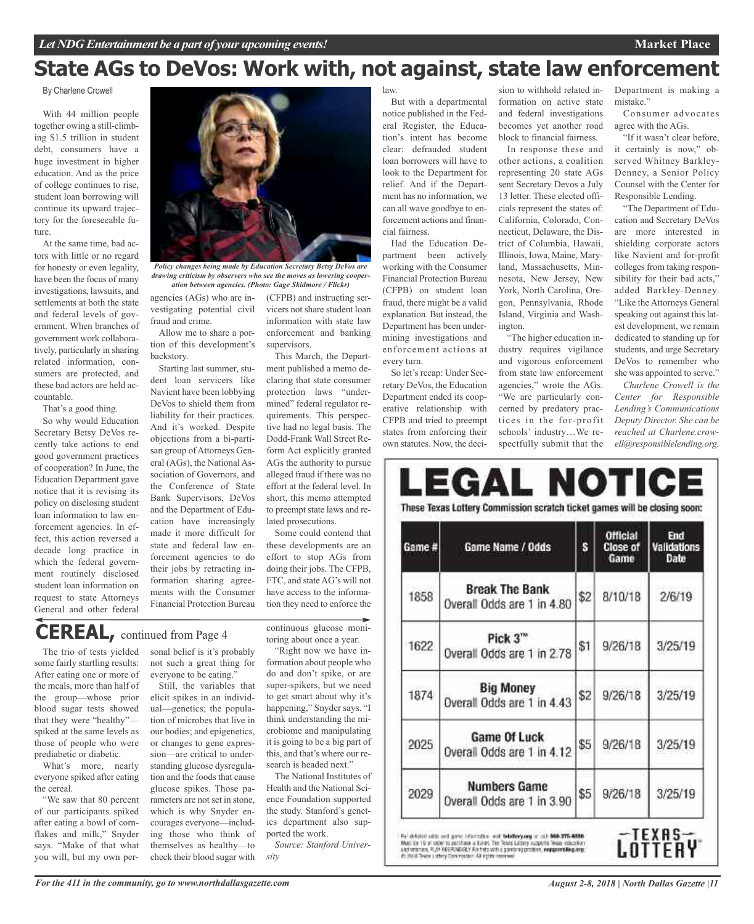## **State AGs to DeVos: Work with, not against, state law enforcement**

#### By Charlene Crowell

With 44 million people together owing a still-climbing \$1.5 trillion in student debt, consumers have a huge investment in higher education. And as the price of college continues to rise, student loan borrowing will continue its upward trajectory for the foreseeable future.

At the same time, bad actors with little or no regard for honesty or even legality, have been the focus of many investigations, lawsuits, and settlements at both the state and federal levels of government. When branches of government work collaboratively, particularly in sharing related information, consumers are protected, and these bad actors are held accountable.

That's a good thing.

So why would Education Secretary Betsy DeVos recently take actions to end good government practices of cooperation? In June, the Education Department gave notice that it is revising its policy on disclosing student loan information to law enforcement agencies. In effect, this action reversed a decade long practice in which the federal government routinely disclosed student loan information on request to state Attorneys General and other federal



*Policy changes being made by Education Secretary Betsy DeVos are drawing criticism by observers who see the moves as lowering cooperation between agencies. (Photo: Gage Skidmore / Flickr)*

agencies (AGs) who are investigating potential civil fraud and crime.

Allow me to share a portion of this development's backstory.

Starting last summer, student loan servicers like Navient have been lobbying DeVos to shield them from liability for their practices. And it's worked. Despite objections from a bi-partisan group of Attorneys General (AGs), the National Association of Governors, and the Conference of State Bank Supervisors, DeVos and the Department of Education have increasingly made it more difficult for state and federal law enforcement agencies to do their jobs by retracting information sharing agreements with the Consumer Financial Protection Bureau

(CFPB) and instructing servicers not share student loan information with state law enforcement and banking supervisors.

This March, the Department published a memo declaring that state consumer protection laws "undermined" federal regulator requirements. This perspective had no legal basis. The Dodd-Frank Wall Street Reform Act explicitly granted AGs the authority to pursue alleged fraud if there was no effort at the federal level. In short, this memo attempted to preempt state laws and related prosecutions.

Some could contend that these developments are an effort to stop AGs from doing their jobs. The CFPB, FTC, and stateAG's will not have access to the information they need to enforce the

## **CEREAL,** continued from Page <sup>4</sup>

The trio of tests yielded some fairly startling results: After eating one or more of the meals, more than half of the group—whose prior blood sugar tests showed that they were "healthy" spiked at the same levels as those of people who were prediabetic or diabetic.

What's more, nearly everyone spiked after eating the cereal.

"We saw that 80 percent of our participants spiked after eating a bowl of cornflakes and milk," Snyder says. "Make of that what you will, but my own personal belief is it's probably not such a great thing for everyone to be eating."

Still, the variables that elicit spikes in an individual—genetics; the population of microbes that live in our bodies; and epigenetics, or changes to gene expression—are critical to understanding glucose dysregulation and the foods that cause glucose spikes. Those parameters are not set in stone, which is why Snyder encourages everyone—including those who think of themselves as healthy—to check their blood sugar with

continuous glucose monitoring about once a year. "Right now we have information about people who

do and don't spike, or are super-spikers, but we need to get smart about why it's happening," Snyder says. "I think understanding the microbiome and manipulating it is going to be a big part of this, and that's where our research is headed next.'

The National Institutes of Health and the National Science Foundation supported the study. Stanford's genetics department also supported the work.

*Source: Stanford University*

law.

But with a departmental notice published in the Federal Register, the Education's intent has become clear: defrauded student loan borrowers will have to look to the Department for relief. And if the Department has no information, we can all wave goodbye to enforcement actions and financial fairness.

Had the Education Department been actively working with the Consumer Financial Protection Bureau (CFPB) on student loan fraud, there might be a valid explanation. But instead, the Department has been undermining investigations and enforcement actions at every turn.

So let's recap: Under Secretary DeVos, the Education Department ended its cooperative relationship with CFPB and tried to preempt states from enforcing their own statutes. Now, the deci-

sion to withhold related information on active state and federal investigations becomes yet another road block to financial fairness.

In response these and other actions, a coalition representing 20 state AGs sent Secretary Devos a July 13 letter. These elected officials represent the states of: California, Colorado, Connecticut, Delaware, the District of Columbia, Hawaii, Illinois, Iowa, Maine, Maryland, Massachusetts, Minnesota, New Jersey, New York, North Carolina, Oregon, Pennsylvania, Rhode Island, Virginia and Washington.

"The higher education industry requires vigilance and vigorous enforcement from state law enforcement agencies," wrote the AGs. "We are particularly concerned by predatory practices in the for-profit schools' industry…We respectfully submit that the

Department is making a mistake."

**Market Place**

Consumer advocates agree with the AGs.

"If it wasn't clear before, it certainly is now," observed Whitney Barkley-Denney, a Senior Policy Counsel with the Center for Responsible Lending.

"The Department of Education and Secretary DeVos are more interested in shielding corporate actors like Navient and for-profit colleges from taking responsibility for their bad acts," added Barkley-Denney. "Like theAttorneys General speaking out against this latest development, we remain dedicated to standing up for students, and urge Secretary DeVos to remember who she was appointed to serve."

*Charlene Crowell is the Center for Responsible Lending's Communications Deputy Director. She can be reached at Charlene.crowell@responsiblelending.org.*

| Game # | Game Name / Odds                                                                             | Ś   | <b>Official</b><br><b>Close of</b><br>Game | End<br><b>Validations</b><br>Date |
|--------|----------------------------------------------------------------------------------------------|-----|--------------------------------------------|-----------------------------------|
| 1858   | <b>Break The Bank</b><br>Overall Odds are 1 in 4.80                                          | \$2 | 8/10/18                                    | 2/6/19                            |
| 1622   | Pick 3"<br>Overall Odds are 1 in 2.78                                                        | \$1 | 9/26/18                                    | 3/25/19                           |
| 1874   | <b>Big Money</b><br>Overall Odds are 1 in 4.43<br>Game Of Luck<br>Overall Odds are 1 in 4.12 |     | 9/26/18                                    | 3/25/19                           |
| 2025   |                                                                                              |     | 9/26/18                                    | 3/25/19                           |
| 2029   | <b>Numbers Game</b><br>Overall Odds are 1 in 3.90                                            | \$5 | 9/26/18                                    | 3/25/19                           |

*For the 411 in the community, go to www.northdallasgazette.com*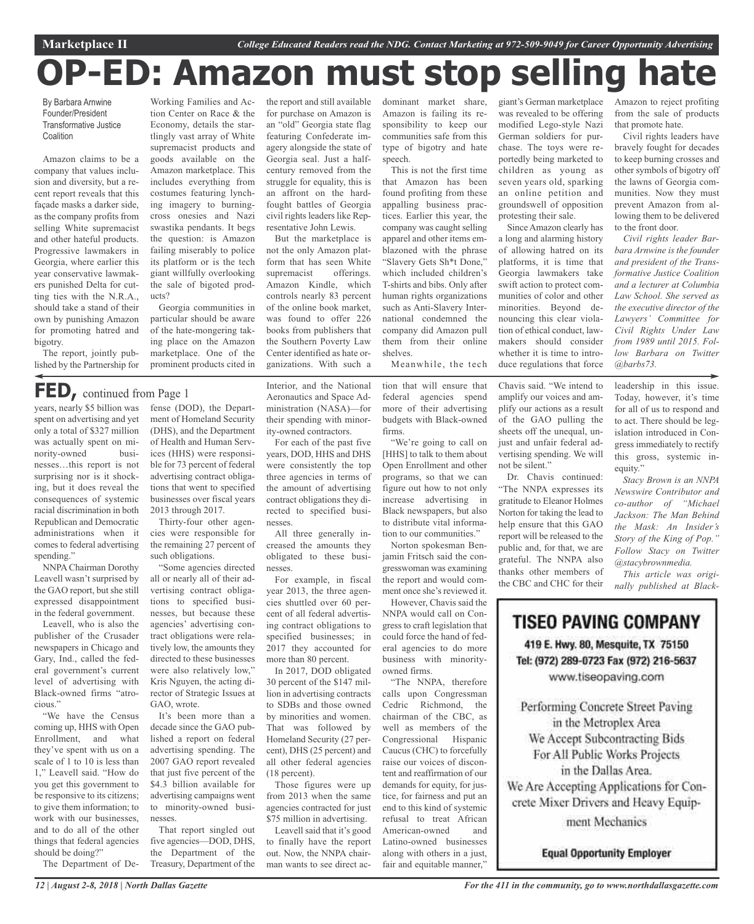## **OP-ED: Amazon must stop selling hate**

By Barbara Arnwine Founder/President Transformative Justice **Coalition** 

Amazon claims to be a company that values inclusion and diversity, but a recent report reveals that this façade masks a darker side, as the company profits from selling White supremacist and other hateful products. Progressive lawmakers in Georgia, where earlier this year conservative lawmakers punished Delta for cutting ties with the N.R.A., should take a stand of their own by punishing Amazon for promoting hatred and bigotry.

The report, jointly published by the Partnership for

Working Families and Action Center on Race & the Economy, details the startlingly vast array of White supremacist products and goods available on the Amazon marketplace. This includes everything from costumes featuring lynching imagery to burningcross onesies and Nazi swastika pendants. It begs the question: is Amazon failing miserably to police its platform or is the tech giant willfully overlooking the sale of bigoted products?

Georgia communities in particular should be aware of the hate-mongering taking place on the Amazon marketplace. One of the prominent products cited in

## **FED,** continued from Page <sup>1</sup>

years, nearly \$5 billion was spent on advertising and yet only a total of \$327 million was actually spent on minority-owned businesses…this report is not surprising nor is it shocking, but it does reveal the consequences of systemic racial discrimination in both Republican and Democratic administrations when it comes to federal advertising spending."

NNPA Chairman Dorothy Leavell wasn't surprised by the GAO report, but she still expressed disappointment in the federal government.

Leavell, who is also the publisher of the Crusader newspapers in Chicago and Gary, Ind., called the federal government's current level of advertising with Black-owned firms "atrocious."

"We have the Census coming up, HHS with Open Enrollment, and what they've spent with us on a scale of 1 to 10 is less than 1," Leavell said. "How do you get this government to be responsive to its citizens; to give them information; to work with our businesses, and to do all of the other things that federal agencies should be doing?"

The Department of De-

fense (DOD), the Department of Homeland Security (DHS), and the Department of Health and Human Services (HHS) were responsible for 73 percent of federal advertising contract obligations that went to specified businesses over fiscal years 2013 through 2017.

Thirty-four other agencies were responsible for the remaining 27 percent of such obligations.

"Some agencies directed all or nearly all of their advertising contract obligations to specified businesses, but because these agencies' advertising contract obligations were relatively low, the amounts they directed to these businesses were also relatively low," Kris Nguyen, the acting director of Strategic Issues at GAO wrote.

It's been more than a decade since the GAO published a report on federal advertising spending. The 2007 GAO report revealed that just five percent of the \$4.3 billion available for advertising campaigns went to minority-owned businesses.

That report singled out five agencies—DOD, DHS, the Department of the Treasury, Department of the the report and still available for purchase on Amazon is an "old" Georgia state flag featuring Confederate imagery alongside the state of Georgia seal. Just a halfcentury removed from the struggle for equality, this is an affront on the hardfought battles of Georgia civil rights leaders like Representative John Lewis.

But the marketplace is not the only Amazon platform that has seen White supremacist offerings. Amazon Kindle, which controls nearly 83 percent of the online book market, was found to offer 226 books from publishers that the Southern Poverty Law Center identified as hate organizations. With such a

Interior, and the National Aeronautics and Space Administration (NASA)—for their spending with minority-owned contractors.

For each of the past five years, DOD, HHS and DHS were consistently the top three agencies in terms of the amount of advertising contract obligations they directed to specified businesses.

All three generally increased the amounts they obligated to these businesses.

For example, in fiscal year 2013, the three agencies shuttled over 60 percent of all federal advertising contract obligations to specified businesses; in 2017 they accounted for more than 80 percent.

In 2017, DOD obligated 30 percent of the \$147 million in advertising contracts to SDBs and those owned by minorities and women. That was followed by Homeland Security (27 percent), DHS (25 percent) and all other federal agencies (18 percent).

Those figures were up from 2013 when the same agencies contracted for just \$75 million in advertising.

Leavell said that it's good to finally have the report out. Now, the NNPA chairman wants to see direct ac-

dominant market share, giant's German marketplace Amazon is failing its responsibility to keep our communities safe from this type of bigotry and hate speech.

This is not the first time that Amazon has been found profiting from these appalling business practices. Earlier this year, the company was caught selling apparel and other items emblazoned with the phrase "Slavery Gets Sh\*t Done," which included children's T-shirts and bibs. Only after human rights organizations such as Anti-Slavery International condemned the company did Amazon pull them from their online shelves.

Meanwhile, the tech

tion that will ensure that federal agencies spend more of their advertising budgets with Black-owned firms.

"We're going to call on [HHS] to talk to them about Open Enrollment and other programs, so that we can figure out how to not only increase advertising in Black newspapers, but also to distribute vital information to our communities."

Norton spokesman Benjamin Fritsch said the congresswoman was examining the report and would comment once she's reviewed it.

However, Chavis said the NNPA would call on Congress to craft legislation that could force the hand of federal agencies to do more business with minorityowned firms.

"The NNPA, therefore calls upon Congressman Cedric Richmond, the chairman of the CBC, as well as members of the Congressional Hispanic Caucus (CHC) to forcefully raise our voices of discontent and reaffirmation of our demands for equity, for justice, for fairness and put an end to this kind of systemic refusal to treat African American-owned and Latino-owned businesses along with others in a just, fair and equitable manner,"

was revealed to be offering modified Lego-style Nazi German soldiers for purchase. The toys were reportedly being marketed to children as young as seven years old, sparking an online petition and groundswell of opposition protesting their sale.

Since Amazon clearly has a long and alarming history of allowing hatred on its platforms, it is time that Georgia lawmakers take swift action to protect communities of color and other minorities. Beyond denouncing this clear violation of ethical conduct, lawmakers should consider whether it is time to introduce regulations that force

Chavis said. "We intend to amplify our voices and amplify our actions as a result of the GAO pulling the sheets off the unequal, unjust and unfair federal advertising spending. We will not be silent."

Dr. Chavis continued: "The NNPA expresses its gratitude to Eleanor Holmes Norton for taking the lead to help ensure that this GAO report will be released to the public and, for that, we are grateful. The NNPA also thanks other members of the CBC and CHC for their Amazon to reject profiting from the sale of products that promote hate.

Civil rights leaders have bravely fought for decades to keep burning crosses and other symbols of bigotry off the lawns of Georgia communities. Now they must prevent Amazon from allowing them to be delivered to the front door.

*Civil rights leader Barbara Arnwine is the founder and president of the Transformative Justice Coalition and a lecturer at Columbia Law School. She served as the executive director of the Lawyers' Committee for Civil Rights Under Law from 1989 until 2015. Follow Barbara on Twitter @barbs73.*

leadership in this issue. Today, however, it's time for all of us to respond and to act. There should be legislation introduced in Congress immediately to rectify this gross, systemic inequity."

*Stacy Brown is an NNPA Newswire Contributor and co-author of "Michael Jackson: The Man Behind the Mask: An Insider's Story of the King of Pop." Follow Stacy on Twitter @stacybrownmedia.*

*This article was originally published at Black-*

TISEO PAVING COMPANY 419 E. Hwy. 80, Mesquite, TX 75150 Tel: (972) 289-0723 Fax (972) 216-5637 www.tiseopaving.com

Performing Concrete Street Paving in the Metroplex Area We Accept Subcontracting Bids For All Public Works Projects in the Dallas Area. We Are Accepting Applications for Concrete Mixer Drivers and Heavy Equipment Mechanics

**Equal Opportunity Employer**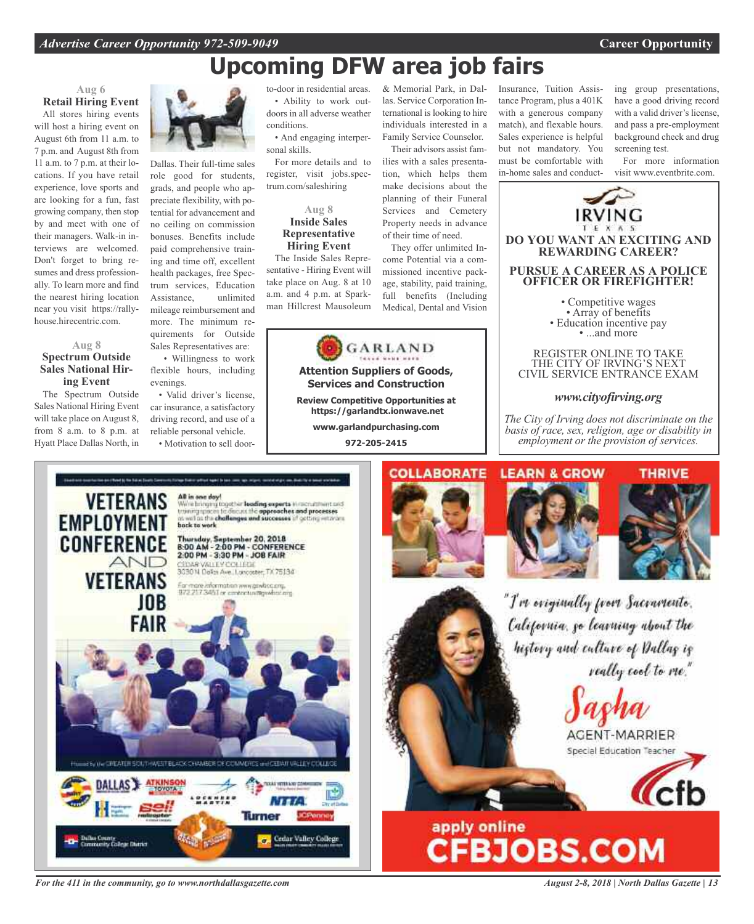## **Upcoming DFW area job fairs**

#### **Aug 6 Retail Hiring Event**

All stores hiring events will host a hiring event on August 6th from 11 a.m. to 7 p.m. and August 8th from 11 a.m. to 7 p.m. at their locations. If you have retail experience, love sports and are looking for a fun, fast growing company, then stop by and meet with one of their managers. Walk-in interviews are welcomed. Don't forget to bring resumes and dress professionally. To learn more and find the nearest hiring location near you visit https://rallyhouse.hirecentric.com.

#### **Aug 8 Spectrum Outside Sales National Hiring Event**

The Spectrum Outside Sales National Hiring Event will take place on August 8, from 8 a.m. to 8 p.m. at Hyatt Place Dallas North, in



Dallas. Their full-time sales role good for students, grads, and people who appreciate flexibility, with potential for advancement and no ceiling on commission bonuses. Benefits include paid comprehensive training and time off, excellent health packages, free Spectrum services, Education Assistance, unlimited mileage reimbursement and more. The minimum requirements for Outside Sales Representatives are:

• Willingness to work flexible hours, including evenings.

• Valid driver's license, car insurance, a satisfactory driving record, and use of a reliable personal vehicle. • Motivation to sell doorto-door in residential areas. • Ability to work outdoors in all adverse weather conditions.

• And engaging interpersonal skills.

For more details and to register, visit jobs.spectrum.com/saleshiring

#### **Aug 8 Inside Sales Representative Hiring Event**

The Inside Sales Representative - Hiring Event will take place on Aug. 8 at 10 a.m. and 4 p.m. at Sparkman Hillcrest Mausoleum



**Review Competitive Opportunities at**

**https://garlandtx.ionwave.net www.garlandpurchasing.com**

**972-205-2415**



*For the 411 in the community, go to www.northdallasgazette.com*

& Memorial Park, in Dallas. Service Corporation International is looking to hire individuals interested in a Family Service Counselor.

Their advisors assist families with a sales presentation, which helps them make decisions about the planning of their Funeral Services and Cemetery Property needs in advance of their time of need.

They offer unlimited Income Potential via a commissioned incentive package, stability, paid training, full benefits (Including Medical, Dental and Vision Insurance, Tuition Assistance Program, plus a 401K with a generous company match), and flexable hours. Sales experience is helpful but not mandatory. You must be comfortable with in-home sales and conducting group presentations, have a good driving record with a valid driver's license, and pass a pre-employment background check and drug screening test.

For more information visit www.eventbrite.com.



*The City of Irving does not discriminate on the basis of race, sex, religion, age or disability in employment or the provision of services.*







"I've originally from Sacramento. California, go learning about the history and culture of Dallas is really cool to me."





# apply online<br>CFBJOBS.COM

*August 2-8, 2018 | North Dallas Gazette | 13*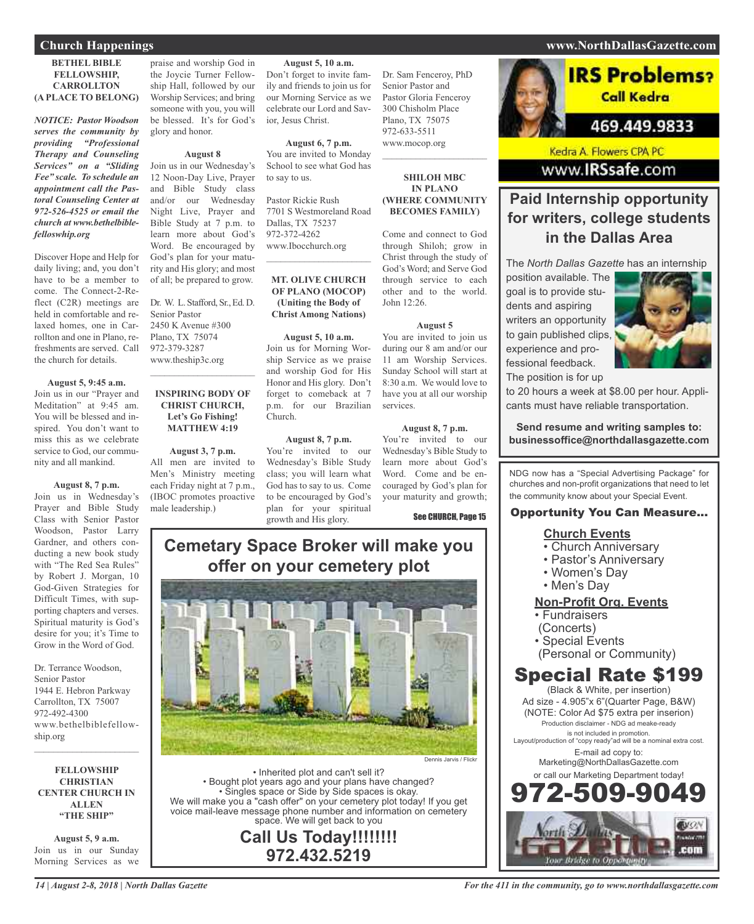#### **Church Happenings www.NorthDallasGazette.com**

#### **BETHEL BIBLE FELLOWSHIP, CARROLLTON (A PLACE TO BELONG)**

*NOTICE: Pastor Woodson serves the community by providing "Professional Therapy and Counseling Services" on a "Sliding Fee" scale. To schedule an appointment call the Pastoral Counseling Center at 972-526-4525 or email the church at www.bethelbiblefelloswhip.org*

Discover Hope and Help for daily living; and, you don't have to be a member to come. The Connect-2-Reflect (C2R) meetings are held in comfortable and relaxed homes, one in Carrollton and one in Plano, refreshments are served. Call the church for details.

#### **August 5, 9:45 a.m.**

Join us in our "Prayer and Meditation" at 9:45 am. You will be blessed and inspired. You don't want to miss this as we celebrate service to God, our community and all mankind.

**August 8, 7 p.m.**

Join us in Wednesday's Prayer and Bible Study Class with Senior Pastor Woodson, Pastor Larry Gardner, and others conducting a new book study with "The Red Sea Rules" by Robert J. Morgan, 10 God-Given Strategies for Difficult Times, with supporting chapters and verses. Spiritual maturity is God's desire for you; it's Time to Grow in the Word of God.

Dr. Terrance Woodson, Senior Pastor 1944 E. Hebron Parkway Carrollton, TX 75007 972-492-4300 www.bethelbiblefellowship.org

**FELLOWSHIP CHRISTIAN CENTER CHURCH IN ALLEN "THE SHIP"**

 $\mathcal{L}_\text{max}$  , which is a set of the set of the set of the set of the set of the set of the set of the set of the set of the set of the set of the set of the set of the set of the set of the set of the set of the set of

**August 5, 9 a.m.** Join us in our Sunday Morning Services as we

praise and worship God in the Joycie Turner Fellowship Hall, followed by our Worship Services; and bring someone with you, you will be blessed. It's for God's glory and honor.

#### **August 8**

Join us in our Wednesday's 12 Noon-Day Live, Prayer and Bible Study class and/or our Wednesday Night Live, Prayer and Bible Study at 7 p.m. to learn more about God's Word. Be encouraged by God's plan for your maturity and His glory; and most of all; be prepared to grow.

Dr. W. L. Stafford, Sr., Ed. D. Senior Pastor 2450 K Avenue #300 Plano, TX 75074 972-379-3287 www.theship3c.org

#### **INSPIRING BODY OF CHRIST CHURCH, Let's Go Fishing! MATTHEW 4:19**

 $\mathcal{L}_\text{max}$  , which is a set of the set of the set of the set of the set of the set of the set of the set of the set of the set of the set of the set of the set of the set of the set of the set of the set of the set of

**August 3, 7 p.m.** All men are invited to Men's Ministry meeting each Friday night at 7 p.m., (IBOC promotes proactive male leadership.)

**August 5, 10 a.m.**

Don't forget to invite family and friends to join us for our Morning Service as we celebrate our Lord and Savior, Jesus Christ.

**August 6, 7 p.m.** You are invited to Monday School to see what God has to say to us.

Pastor Rickie Rush 7701 S Westmoreland Road Dallas, TX 75237 972-372-4262 www.Ibocchurch.org

 $\overline{\phantom{a}}$  , and the set of the set of the set of the set of the set of the set of the set of the set of the set of the set of the set of the set of the set of the set of the set of the set of the set of the set of the s

#### **MT. OLIVE CHURCH OF PLANO (MOCOP) (Uniting the Body of Christ Among Nations)**

**August 5, 10 a.m.** Join us for Morning Worship Service as we praise and worship God for His Honor and His glory. Don't forget to comeback at 7 p.m. for our Brazilian Church.

#### **August 8, 7 p.m.**

You're invited to our Wednesday's Bible Study class; you will learn what God has to say to us. Come to be encouraged by God's plan for your spiritual growth and His glory.

Dr. Sam Fenceroy, PhD Senior Pastor and Pastor Gloria Fenceroy 300 Chisholm Place Plano, TX 75075 972-633-5511 www.mocop.org

#### **SHILOH MBC IN PLANO (WHERE COMMUNITY BECOMES FAMILY)**

 $\mathcal{L}$  , and the set of the set of the set of the set of the set of the set of the set of the set of the set of the set of the set of the set of the set of the set of the set of the set of the set of the set of the set

Come and connect to God through Shiloh; grow in Christ through the study of God's Word; and Serve God through service to each other and to the world. John 12:26.

#### **August 5**

You are invited to join us during our 8 am and/or our 11 am Worship Services. Sunday School will start at 8:30 a.m. We would love to have you at all our worship services.

#### **August 8, 7 p.m.**

You're invited to our Wednesday's Bible Study to learn more about God's Word. Come and be encouraged by God's plan for your maturity and growth;

See CHURCH, Page 15

### **Cemetary Space Broker will make you offer on your cemetery plot**



• Inherited plot and can't sell it? • Bought plot years ago and your plans have changed? • Singles space or Side by Side spaces is okay. We will make you a "cash offer" on your cemetery plot today! If you get voice mail-leave message phone number and information on cemetery space. We will get back to you

**Call Us Today!!!!!!!! 972.432.5219**

## **IRS Problems?**

Call Kedra

### 469.449.9833

Kedra A. Flowers CPA PC www.IRSsafe.com

### **Paid Internship opportunity for writers, college students in the Dallas Area**

The *North Dallas Gazette* has an internship

position available. The goal is to provide students and aspiring writers an opportunity to gain published clips, experience and professional feedback. The position is for up



to 20 hours a week at \$8.00 per hour. Applicants must have reliable transportation.

**Send resume and writing samples to: businessoffice@northdallasgazette.com**

NDG now has a "Special Advertising Package" for churches and non-profit organizations that need to let the community know about your Special Event.

#### Opportunity You Can Measure...

#### **Church Events**

- Church Anniversary
- Pastor's Anniversary
- Women's Day
- Men's Day

#### **Non-Profit Org. Events**

- Fundraisers
- (Concerts)
- Special Events
- (Personal or Community)

### Special Rate \$199

(Black & White, per insertion) Ad size - 4.905"x 6"(Quarter Page, B&W) (NOTE: Color Ad \$75 extra per inserion) Production disclaimer - NDG ad meake-ready is not included in promotion. Layout/production of "copy ready"ad will be a nominal extra cost. E-mail ad copy to: Marketing@NorthDallasGazette.com or call our Marketing Department today! 972-509-9049

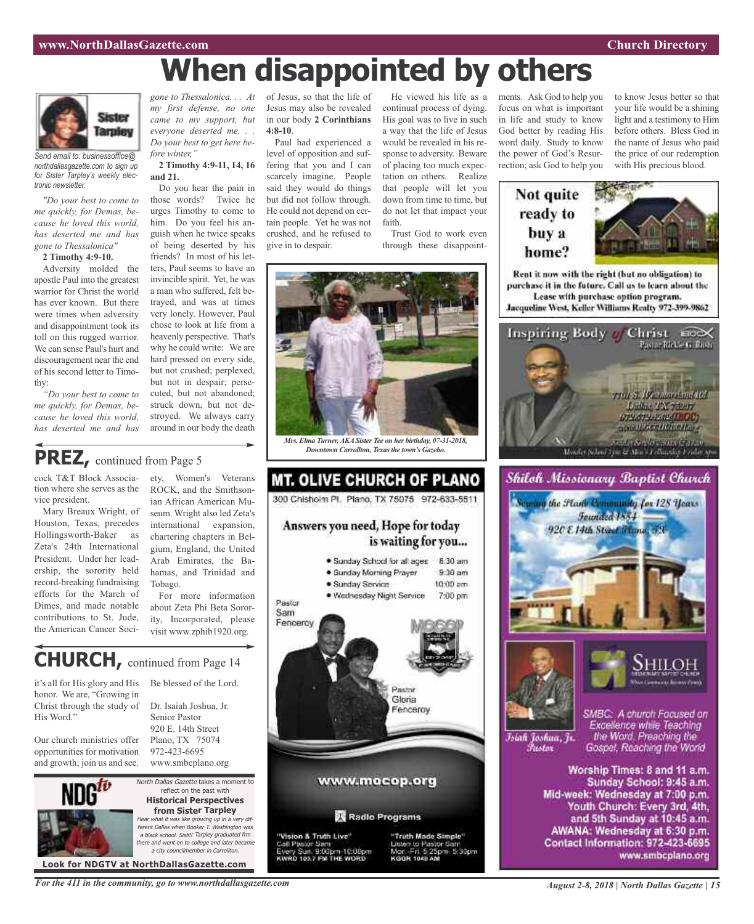## **When disappointed by others**



*Send email to: businessoffice@ northdallasgazette.com to sign up for Sister Tarpley's weekly electronic newsletter.*

*"Do your best to come to me quickly, for Demas, because he loved this world, has deserted me and has gone to Thessalonica"*

**2 Timothy 4:9-10.**

Adversity molded the apostle Paul into the greatest warrior for Christ the world has ever known. But there were times when adversity and disappointment took its toll on this rugged warrior. We can sense Paul's hurt and discouragement near the end of his second letter to Timothy:

*"Do your best to come to me quickly, for Demas, because he loved this world, has deserted me and has*

*gone to Thessalonica. . . At my first defense, no one came to my support, but everyone deserted me. . . Do your best to get here before winter,"*

**2 Timothy 4:9-11, 14, 16 and 21.**

Do you hear the pain in those words? Twice he urges Timothy to come to him. Do you feel his anguish when he twice speaks of being deserted by his friends? In most of his letters, Paul seems to have an invincible spirit. Yet, he was a man who suffered, felt betrayed, and was at times very lonely. However, Paul chose to look at life from a heavenly perspective. That's why he could write: We are hard pressed on every side, but not crushed; perplexed, but not in despair; persecuted, but not abandoned; struck down, but not destroyed. We always carry around in our body the death

of Jesus, so that the life of Jesus may also be revealed in our body **2 Corinthians 4:8-10**.

Paul had experienced a level of opposition and suffering that you and I can scarcely imagine. People said they would do things but did not follow through. He could not depend on certain people. Yet he was not crushed, and he refused to give in to despair.

He viewed his life as a continual process of dying. His goal was to live in such a way that the life of Jesus would be revealed in his response to adversity. Beware of placing too much expectation on others. Realize that people will let you down from time to time, but do not let that impact your faith.

Trust God to work even through these disappoint-



*Mrs. Elma Turner,AKASister Tee on her birthday, 07-31-2018, Downtown Carrollton, Texas the town's Gazebo.* 

**MT. OLIVE CHURCH OF PLANO** 

300 Chishoim Pl. Plano, TX 75075 972-633-5511

Answers you need, Hope for today

· Sunday Morning Prayer

· Wednesday Night Service

· Sunday Service

· Sunday School for all ages

is waiting for you...

8:30 am

 $9.30$  am

 $10:00$  am

7:00 pm

### **PREZ,** continued from Page <sup>5</sup>

cock T&T Block Association where she serves as the vice president.

Mary Breaux Wright, of Houston, Texas, precedes Hollingsworth-Baker as Zeta's 24th International President. Under her leadership, the sorority held record-breaking fundraising efforts for the March of Dimes, and made notable contributions to St. Jude, the American Cancer Soci-

ety, Women's Veterans ROCK, and the Smithsonian African American Museum. Wright also led Zeta's international expansion, chartering chapters in Belgium, England, the United Arab Emirates, the Bahamas, and Trinidad and Tobago.

For more information about Zeta Phi Beta Sorority, Incorporated, please visit www.zphib1920.org.

## **CHURCH,** continued from Page <sup>14</sup>

it's all for His glory and His honor. We are, "Growing in Christ through the study of His Word."

Our church ministries offer opportunities for motivation and growth; join us and see.



North Dallas Gazette takes a moment to reflect on the past with **Historical Perspectives from Sister Tarpley** Hear what it was like growing up in <sup>a</sup> very different Dallas when Booker T. Washington was <sup>a</sup> black school. Sister Tarpley graduated frm there and went on to college and later became a city councilmember in Carroll

Senior Pastor 920 E. 14th Street Plano, TX 75074 972-423-6695

**Look for NDGTV at NorthDallasGazette.com**

Sam Fencercy Be blessed of the Lord. Dr. Isaiah Joshua, Jr. www.smbcplano.org

Pastor

"Vision & Truth Live" Call Pastor Sam Sun, 9:00pm-10:00pm<br>103.7 FM THE WORD



ments. Ask God to help you focus on what is important in life and study to know God better by reading His word daily. Study to know the power of God's Resurrection; ask God to help you to know Jesus better so that your life would be a shining light and a testimony to Him before others. Bless God in the name of Jesus who paid the price of our redemption with His precious blood.

### Not quite ready to buy a home?



Rent it now with the right (but no obligation) to purchase it in the future. Call us to learn about the Lease with purchase option program. Jacqueline West, Keller Williams Realty 972-399-9862







Īsiah Joshua, Jr. Fustor

SMBC: A church Focused on Excellence while Teaching the Word. Preaching the Gospel, Reaching the World

Worship Times: 8 and 11 a.m. Sunday School: 9:45 a.m. Mid-week: Wednesday at 7:00 p.m. Youth Church: Every 3rd, 4th, and 5th Sunday at 10:45 a.m. AWANA: Wednesday at 6:30 p.m. Contact Information: 972-423-6695 www.smbcplano.org

*For the 411 in the community, go to www.northdallasgazette.com*